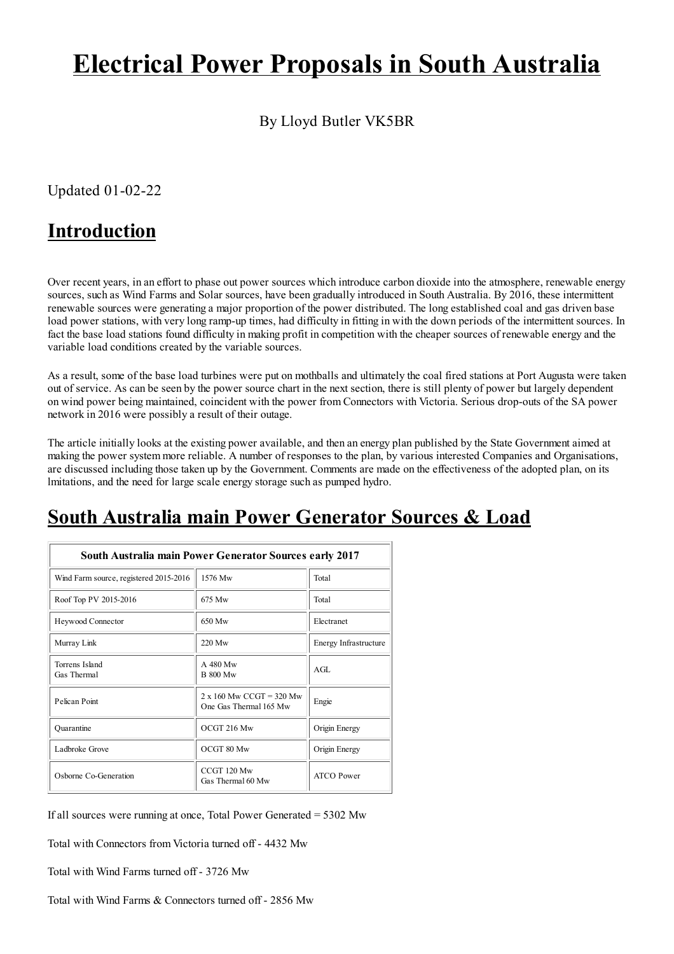# **Electrical Power Proposals in South Australia**

By Lloyd Butler VK5BR

Updated  $01-02-22$ 

#### **Introduction**

Over recent years, in an effort to phase out power sources which introduce carbon dioxide into the atmosphere, renewable energy sources, such as Wind Farms and Solar sources, have been gradually introduced in South Australia. By 2016, these intermittent renewable sources were generating a major proportion of the power distributed. The long established coal and gas driven base load power stations, with very long ramp-up times, had difficulty in fitting in with the down periods of the intermittent sources. In fact the base load stations found difficulty in making profit in competition with the cheaper sources of renewable energy and the variable load conditions created by the variable sources.

As a result, some of the base load turbines were put on mothballs and ultimately the coal fired stations at Port Augusta were taken out of service. As can be seen by the power source chart in the next section, there is still plenty of power but largely dependent on wind power being maintained, coincident with the power from Connectors with Victoria. Serious drop-outs of the SA power network in 2016 were possibly a result of their outage.

The article initially looks at the existing power available, and then an energy plan published by the State Government aimed at making the power system more reliable. A number of responses to the plan, by various interested Companies and Organisations, are discussed including those taken up by the Government. Comments are made on the effectiveness of the adopted plan, on its lmitations, and the need for large scale energy storage such as pumped hydro.

### South Australia main Power Generator Sources & Load

| South Australia main Power Generator Sources early 2017 |                                                           |                       |
|---------------------------------------------------------|-----------------------------------------------------------|-----------------------|
| Wind Farm source, registered 2015-2016                  | 1576 Mw                                                   | Total                 |
| Roof Top PV 2015-2016                                   | 675 Mw                                                    | Total                 |
| Heywood Connector                                       | 650 Mw                                                    | Electranet            |
| Murray Link                                             | 220 Mw                                                    | Energy Infrastructure |
| Torrens Island<br>Gas Thermal                           | A 480 Mw<br><b>B 800 Mw</b>                               | AGL                   |
| Pelican Point                                           | $2 \times 160$ Mw CCGT = 320 Mw<br>One Gas Thermal 165 Mw | Engie                 |
| Quarantine                                              | OCGT 216 Mw                                               | Origin Energy         |
| Ladbroke Grove                                          | OCGT 80 Mw                                                | Origin Energy         |
| Osborne Co-Generation                                   | CCGT 120 Mw<br>Gas Thermal 60 Mw                          | <b>ATCO</b> Power     |

If all sources were running at once, Total Power Generated = 5302 Mw

Total with Connectors from Victoria turned off - 4432 Mw

Total with Wind Farms turned off - 3726 Mw

Total with Wind Farms & Connectors turned off - 2856 Mw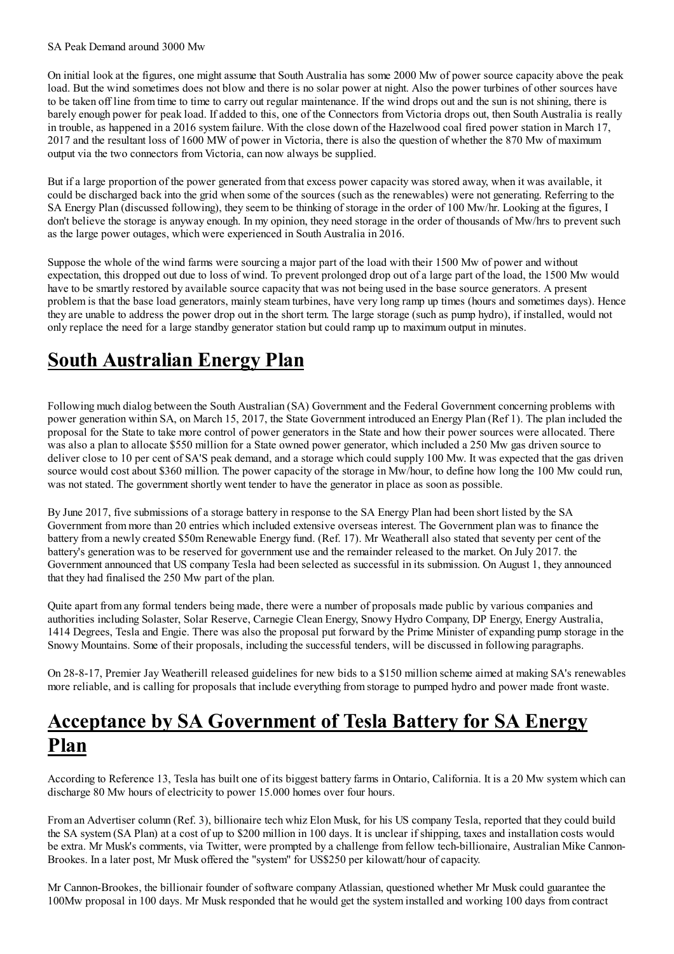#### SA Peak Demand around 3000 Mw

On initial look at the figures, one might assume that South Australia has some 2000 Mw of power source capacity above the peak load. But the wind sometimes does not blow and there is no solar power at night. Also the power turbines of other sources have to be taken off line from time to time to carry out regular maintenance. If the wind drops out and the sun is not shining, there is barely enough power for peak load. If added to this, one of the Connectors from Victoria drops out, then South Australia is really in trouble, as happened in a 2016 system failure. With the close down of the Hazelwood coal fired power station in March 17, 2017 and the resultant loss of 1600 MW of power in Victoria, there is also the question of whether the 870 Mw of maximum output via the two connectors from Victoria, can now always be supplied.

But if a large proportion of the power generated from that excess power capacity was stored away, when it was available, it could be discharged back into the grid when some of the sources (such as the renewables) were not generating. Referring to the SA Energy Plan (discussed following), they seem to be thinking of storage in the order of 100 Mw/hr. Looking at the figures, I don't believe the storage is anyway enough. In my opinion, they need storage in the order of thousands of Mw/hrs to prevent such as the large power outages, which were experienced in South Australia in 2016.

Suppose the whole of the wind farms were sourcing a major part of the load with their 1500 Mw of power and without expectation, this dropped out due to loss of wind. To prevent prolonged drop out of a large part of the load, the 1500 Mw would have to be smartly restored by available source capacity that was not being used in the base source generators. A present problem is that the base load generators, mainly steam turbines, have very long ramp up times (hours and sometimes days). Hence they are unable to address the power drop out in the short term. The large storage (such as pump hydro), if installed, would not only replace the need for a large standby generator station but could ramp up to maximum output in minutes.

# **South Australian Energy Plan**

Following much dialog between the South Australian (SA) Government and the Federal Government concerning problems with power generation within SA, on March 15, 2017, the State Government introduced an Energy Plan (Ref 1). The plan included the proposal for the State to take more control of power generators in the State and how their power sources were allocated. There was also a plan to allocate \$550 million for a State owned power generator, which included a 250 Mw gas driven source to deliver close to 10 per cent of SA'S peak demand, and a storage which could supply 100 Mw. It was expected that the gas driven source would cost about \$360 million. The power capacity of the storage in Mw/hour, to define how long the 100 Mw could run, was not stated. The government shortly went tender to have the generator in place as soon as possible.

By June 2017, five submissions of a storage battery in response to the SA Energy Plan had been short listed by the SA Government from more than 20 entries which included extensive overseas interest. The Government plan was to finance the battery from a newly created \$50m Renewable Energy fund. (Ref. 17). Mr Weatherall also stated that seventy per cent of the battery's generation was to be reserved for government use and the remainder released to the market. On July 2017, the Government announced that US company Tesla had been selected as successful in its submission. On August 1, they announced that they had finalised the 250 Mw part of the plan.

Ouite apart from any formal tenders being made, there were a number of proposals made public by various companies and authorities including Solaster, Solar Reserve, Carnegie Clean Energy, Snowy Hydro Company, DP Energy, Energy Australia, 1414 Degrees, Tesla and Engie. There was also the proposal put forward by the Prime Minister of expanding pump storage in the Snowy Mountains. Some of their proposals, including the successful tenders, will be discussed in following paragraphs.

On 28-8-17, Premier Jay Weatherill released guidelines for new bids to a \$150 million scheme aimed at making SA's renewables more reliable, and is calling for proposals that include everything from storage to pumped hydro and power made front waste.

#### **Acceptance by SA Government of Tesla Battery for SA Energy** Plan

According to Reference 13, Tesla has built one of its biggest battery farms in Ontario, California. It is a 20 Mw system which can discharge 80 Mw hours of electricity to power 15.000 homes over four hours.

From an Advertiser column (Ref. 3), billionaire tech whiz Elon Musk, for his US company Tesla, reported that they could build the SA system (SA Plan) at a cost of up to \$200 million in 100 days. It is unclear if shipping, taxes and installation costs would be extra. Mr Musk's comments, via Twitter, were prompted by a challenge from fellow tech-billionaire, Australian Mike Cannon-Brookes. In a later post, Mr Musk offered the "system" for US\$250 per kilowatt/hour of capacity.

Mr Cannon-Brookes, the billionair founder of software company Atlassian, questioned whether Mr Musk could guarantee the 100 Mw proposal in 100 days. Mr Musk responded that he would get the system installed and working 100 days from contract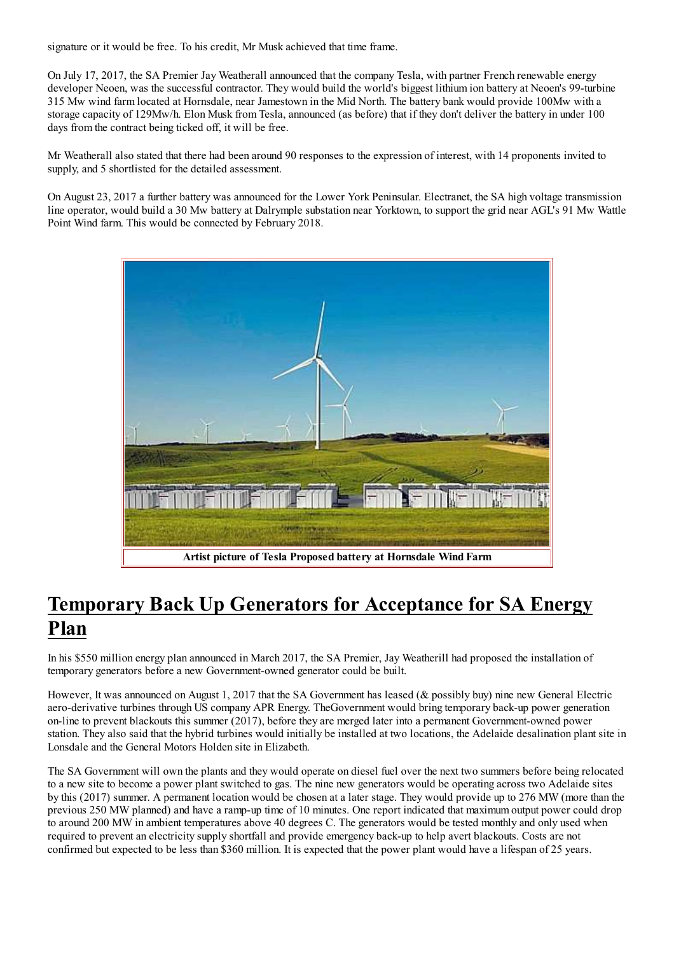signature or it would be free. To his credit, Mr Musk achieved that time frame.

On July 17, 2017, the SA Premier Jay Weatherall announced that the company Tesla, with partner French renewable energy developer Neoen, was the successful contractor. They would build the world's biggest lithium ion battery at Neoen's 99-turbine 315 Mw wind farm located at Hornsdale, near Jamestown in the Mid North. The battery bank would provide 100Mw with a storage capacity of 129Mw/h. Elon Musk from Tesla, announced (as before) that if they don't deliver the battery in under 100 days from the contract being ticked off, it will be free.

Mr Weatherall also stated that there had been around 90 responses to the expression of interest, with 14 proponents invited to supply, and 5 shortlisted for the detailed assessment.

On August 23, 2017 a further battery was announced for the Lower York Peninsular. Electranet, the SA high voltage transmission line operator, would build a 30 Mw battery at Dalrymple substation near Yorktown, to support the grid near AGL's 91 Mw Wattle Point Wind farm. This would be connected by February 2018.



### **Temporary Back Up Generators for Acceptance for SA Energy** Plan

In his \$550 million energy plan announced in March 2017, the SA Premier, Jay Weatherill had proposed the installation of temporary generators before a new Government-owned generator could be built.

However, It was announced on August 1, 2017 that the SA Government has leased ( $\&$  possibly buy) nine new General Electric aero-derivative turbines through US company APR Energy. The Government would bring temporary back-up power generation on-line to prevent blackouts this summer (2017), before they are merged later into a permanent Government-owned power station. They also said that the hybrid turbines would initially be installed at two locations, the Adelaide desalination plant site in Lonsdale and the General Motors Holden site in Elizabeth.

The SA Government will own the plants and they would operate on diesel fuel over the next two summers before being relocated to a new site to become a power plant switched to gas. The nine new generators would be operating across two Adelaide sites by this (2017) summer. A permanent location would be chosen at a later stage. They would provide up to 276 MW (more than the previous 250 MW planned) and have a ramp-up time of 10 minutes. One report indicated that maximum output power could drop to around 200 MW in ambient temperatures above 40 degrees C. The generators would be tested monthly and only used when required to prevent an electricity supply shortfall and provide emergency back-up to help avert blackouts. Costs are not confirmed but expected to be less than \$360 million. It is expected that the power plant would have a lifespan of 25 years.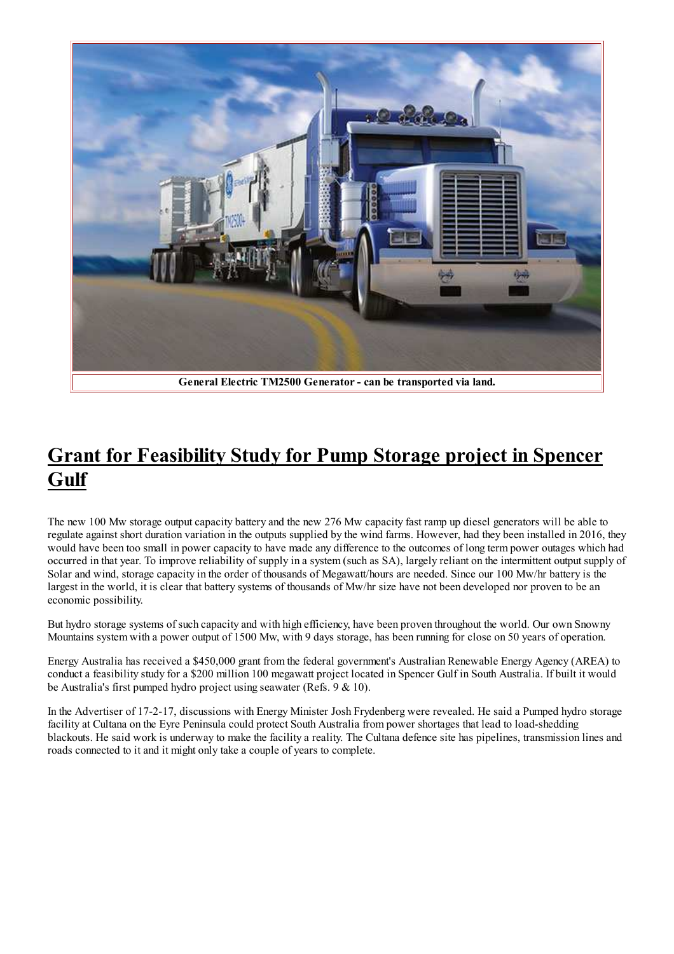

# **Grant for Feasibility Study for Pump Storage project in Spencer** Gulf

The new 100 Mw storage output capacity battery and the new 276 Mw capacity fast ramp up diesel generators will be able to regulate against short duration variation in the outputs supplied by the wind farms. However, had they been installed in 2016, they would have been too small in power capacity to have made any difference to the outcomes of long term power outages which had occurred in that year. To improve reliability of supply in a system (such as SA), largely reliant on the intermittent output supply of Solar and wind, storage capacity in the order of thousands of Megawatt/hours are needed. Since our 100 Mw/hr battery is the largest in the world, it is clear that battery systems of thousands of Mw/hr size have not been developed nor proven to be an economic possibility.

But hydro storage systems of such capacity and with high efficiency, have been proven throughout the world. Our own Snowny Mountains system with a power output of 1500 Mw, with 9 days storage, has been running for close on 50 years of operation.

Energy Australia has received a \$450,000 grant from the federal government's Australian Renewable Energy Agency (AREA) to conduct a feasibility study for a \$200 million 100 megawatt project located in Spencer Gulf in South Australia. If built it would be Australia's first pumped hydro project using seawater (Refs.  $9 < 10$ ).

In the Advertiser of 17-2-17, discussions with Energy Minister Josh Frydenberg were revealed. He said a Pumped hydro storage facility at Cultana on the Eyre Peninsula could protect South Australia from power shortages that lead to load-shedding blackouts. He said work is underway to make the facility a reality. The Cultana defence site has pipelines, transmission lines and roads connected to it and it might only take a couple of years to complete.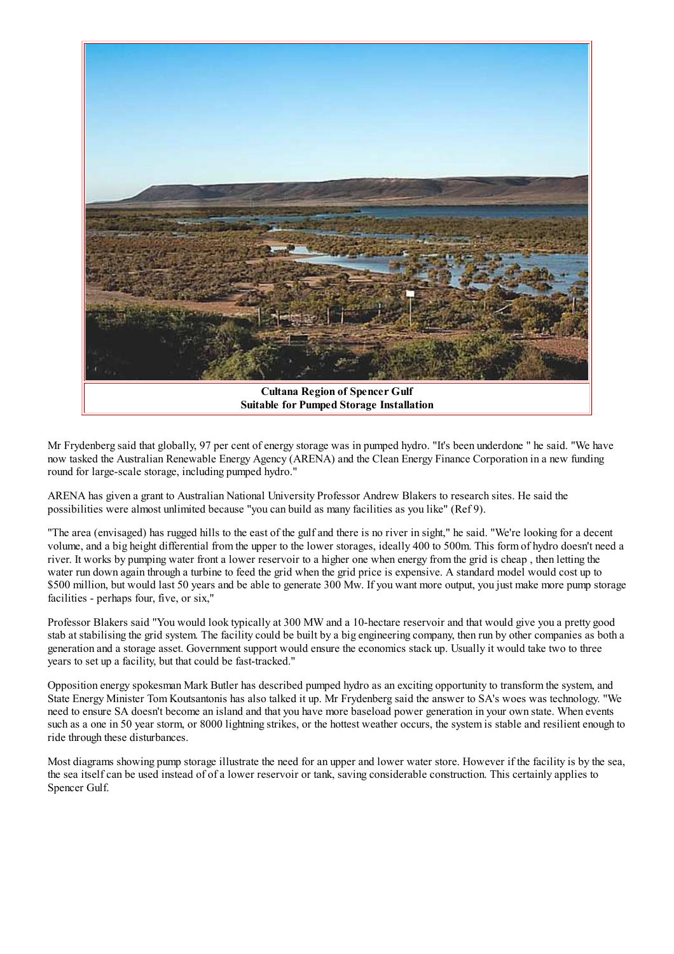

Mr Frydenberg said that globally, 97 per cent of energy storage was in pumped hydro. "It's been underdone" he said. "We have now tasked the Australian Renewable Energy Agency (ARENA) and the Clean Energy Finance Corporation in a new funding round for large-scale storage, including pumped hydro."

ARENA has given a grant to Australian National University Professor Andrew Blakers to research sites. He said the possibilities were almost unlimited because "you can build as many facilities as you like" (Ref 9).

"The area (envisaged) has rugged hills to the east of the gulf and there is no river in sight," he said. "We're looking for a decent volume, and a big height differential from the upper to the lower storages, ideally 400 to 500m. This form of hydro doesn't need a river. It works by pumping water front a lower reservoir to a higher one when energy from the grid is cheap, then letting the water run down again through a turbine to feed the grid when the grid price is expensive. A standard model would cost up to \$500 million, but would last 50 years and be able to generate 300 Mw. If you want more output, you just make more pump storage facilities - perhaps four, five, or six,"

Professor Blakers said "You would look typically at 300 MW and a 10-hectare reservoir and that would give you a pretty good stab at stabilising the grid system. The facility could be built by a big engineering company, then run by other companies as both a generation and a storage asset. Government support would ensure the economics stack up. Usually it would take two to three years to set up a facility, but that could be fast-tracked."

Opposition energy spokesman Mark Butler has described pumped hydro as an exciting opportunity to transform the system, and State Energy Minister Tom Koutsantonis has also talked it up. Mr Frydenberg said the answer to SA's woes was technology. "We need to ensure SA doesn't become an island and that you have more baseload power generation in your own state. When events such as a one in 50 year storm, or 8000 lightning strikes, or the hottest weather occurs, the system is stable and resilient enough to ride through these disturbances.

Most diagrams showing pump storage illustrate the need for an upper and lower water store. However if the facility is by the sea, the sea itself can be used instead of of a lower reservoir or tank, saving considerable construction. This certainly applies to Spencer Gulf.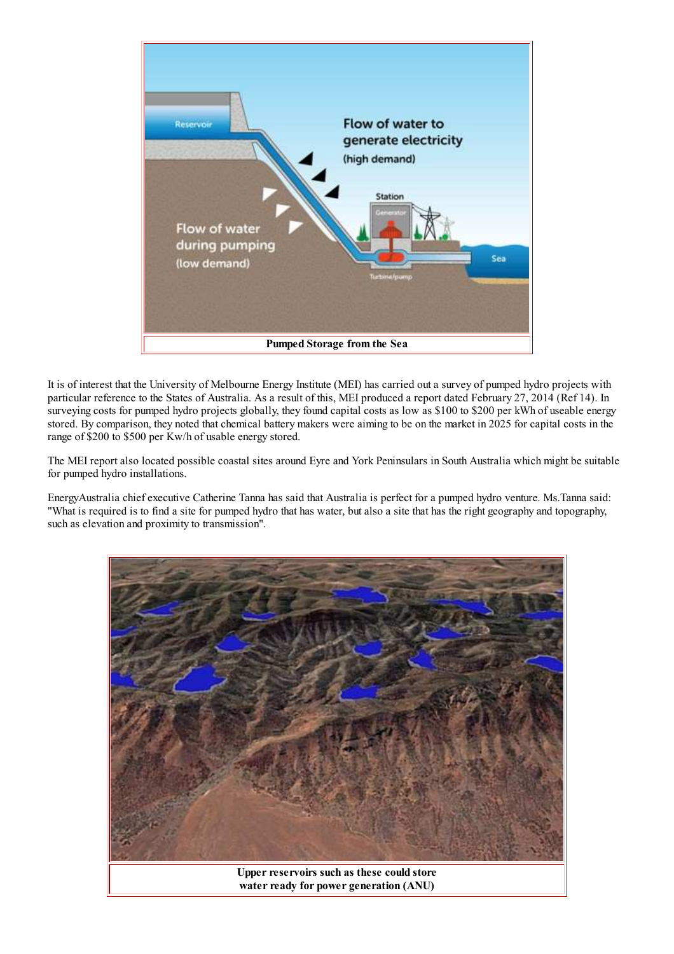

It is of interest that the University of Melbourne Energy Institute (MEI) has carried out a survey of pumped hydro projects with particular reference to the States of Australia. As a result of this, MEI produced a report dated February 27, 2014 (Ref 14). In surveying costs for pumped hydro projects globally, they found capital costs as low as \$100 to \$200 per kWh of useable energy stored. By comparison, they noted that chemical battery makers were aiming to be on the market in 2025 for capital costs in the range of \$200 to \$500 per Kw/h of usable energy stored.

The MEI report also located possible coastal sites around Eyre and York Peninsulars in South Australia which might be suitable for pumped hydro installations.

EnergyAustralia chief executive Catherine Tanna has said that Australia is perfect for a pumped hydro venture. Ms. Tanna said: "What is required is to find a site for pumped hydro that has water, but also a site that has the right geography and topography, such as elevation and proximity to transmission".

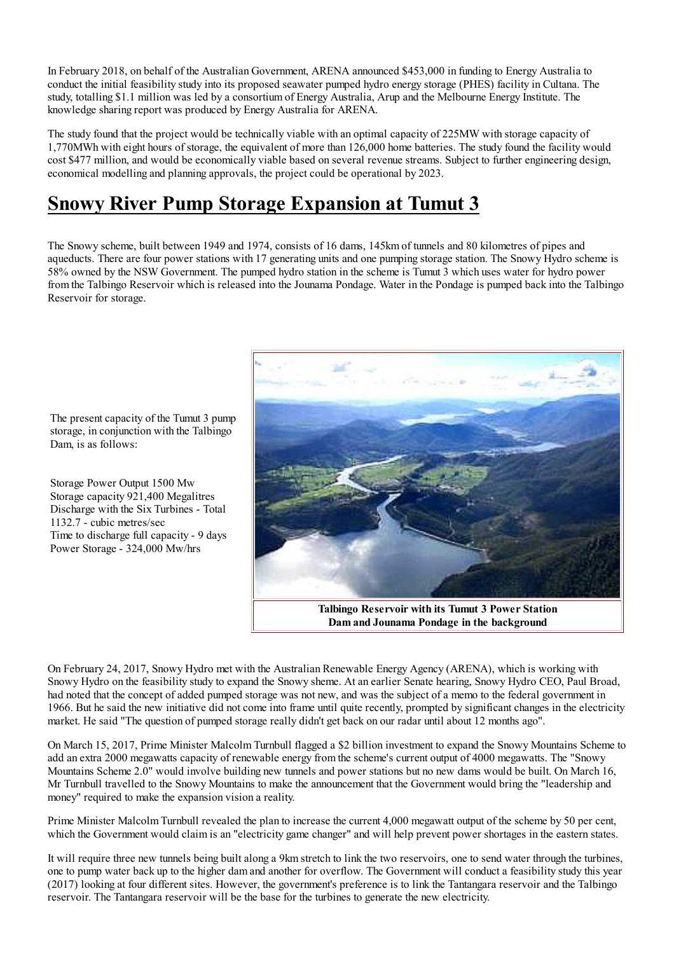In February 2018, on behalf of the Australian Government, ARENA announced \$453,000 in funding to Energy Australia to conduct the initial feasibility study into its proposed seawater pumped hydro energy storage (PHES) facility in Cultana. The study, totalling \$1.1 million was led by a consortium of Energy Australia, Arup and the Melbourne Energy Institute. The knowledge sharing report was produced by Energy Australia for ARENA.

The study found that the project would be technically viable with an optimal capacity of 225MW with storage capacity of 1,770MWh with eight hours of storage, the equivalent of more than 126,000 home batteries. The study found the facility would cost \$477 million, and would be economically viable based on several revenue streams. Subject to further engineering design, economical modelling and planning approvals, the project could be operational by 2023.

# **Snowy River Pump Storage Expansion at Tumut 3**

The Snowy scheme, built between 1949 and 1974, consists of 16 dams, 145km of tunnels and 80 kilometres of pipes and aqueducts. There are four power stations with 17 generating units and one pumping storage station. The Snowy Hydro scheme is 58% owned by the NSW Government. The pumped hydro station in the scheme is Tumut 3 which uses water for hydro power from the Talbingo Reservoir which is released into the Jounama Pondage. Water in the Pondage is pumped back into the Talbingo Reservoir for storage.



The present capacity of the Tumut 3 pump storage, in conjunction with the Talbingo Dam, is as follows:

Storage Power Output 1500 Mw Storage capacity 921,400 Megalitres Discharge with the Six Turbines - Total 1132.7 - cubic metres/sec Time to discharge full capacity - 9 days Power Storage - 324,000 Mw/hrs

On February 24, 2017, Snowy Hydro met with the Australian Renewable Energy Agency (ARENA), which is working with Snowy Hydro on the feasibility study to expand the Snowy sheme. At an earlier Senate hearing, Snowy Hydro CEO, Paul Broad, had noted that the concept of added pumped storage was not new, and was the subject of a memo to the federal government in 1966. But he said the new initiative did not come into frame until quite recently, prompted by significant changes in the electricity market. He said "The question of pumped storage really didn't get back on our radar until about 12 months ago".

On March 15, 2017, Prime Minister Malcolm Turnbull flagged a \$2 billion investment to expand the Snowy Mountains Scheme to add an extra 2000 megawatts capacity of renewable energy from the scheme's current output of 4000 megawatts. The "Snowy Mountains Scheme 2.0" would involve building new tunnels and power stations but no new dams would be built. On March 16, Mr Turnbull travelled to the Snowy Mountains to make the announcement that the Government would bring the "leadership and money" required to make the expansion vision a reality.

Prime Minister Malcolm Turnbull revealed the plan to increase the current 4,000 megawatt output of the scheme by 50 per cent, which the Government would claim is an "electricity game changer" and will help prevent power shortages in the eastern states.

It will require three new tunnels being built along a 9km stretch to link the two reservoirs, one to send water through the turbines, one to pump water back up to the higher dam and another for overflow. The Government will conduct a feasibility study this year (2017) looking at four different sites. However, the government's preference is to link the Tantangara reservoir and the Talbingo reservoir. The Tantangara reservoir will be the base for the turbines to generate the new electricity.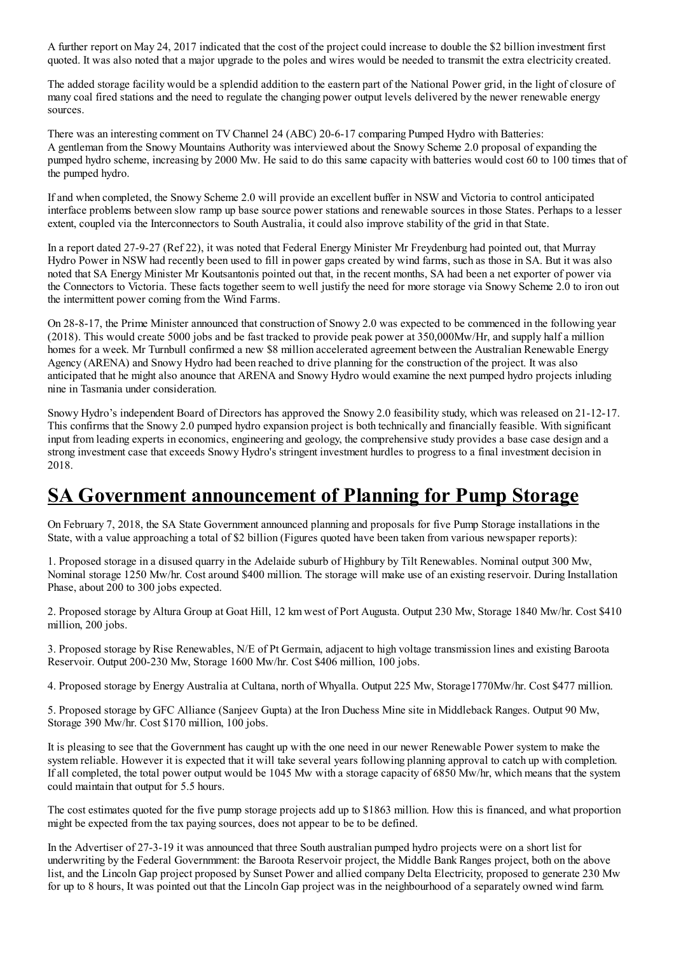A further report on May 24, 2017 indicated that the cost of the project could increase to double the \$2 billion investment first quoted. It was also noted that a major upgrade to the poles and wires would be needed to transmit the extra electricity created.

The added storage facility would be a splendid addition to the eastern part of the National Power grid, in the light of closure of many coal fired stations and the need to regulate the changing power output levels delivered by the newer renewable energy sources.

There was an interesting comment on TV Channel 24 (ABC) 20-6-17 comparing Pumped Hydro with Batteries: A gentleman from the Snowy Mountains Authority was interviewed about the Snowy Scheme 2.0 proposal of expanding the pumped hydro scheme, increasing by 2000 Mw. He said to do this same capacity with batteries would cost 60 to 100 times that of the pumped hydro.

If and when completed, the Snowy Scheme 2.0 will provide an excellent buffer in NSW and Victoria to control anticipated interface problems between slow ramp up base source power stations and renewable sources in those States. Perhaps to a lesser extent, coupled via the Interconnectors to South Australia, it could also improve stability of the grid in that State.

In a report dated 27-9-27 (Ref 22), it was noted that Federal Energy Minister Mr Freydenburg had pointed out, that Murray Hydro Power in NSW had recently been used to fill in power gaps created by wind farms, such as those in SA. But it was also noted that SA Energy Minister Mr Koutsantonis pointed out that, in the recent months. SA had been a net exporter of power via the Connectors to Victoria. These facts together seem to well justify the need for more storage via Snowy Scheme 2.0 to iron out the intermittent power coming from the Wind Farms.

On 28-8-17, the Prime Minister announced that construction of Snowy 2.0 was expected to be commenced in the following year (2018). This would create 5000 jobs and be fast tracked to provide peak power at 350,000Mw/Hr, and supply half a million homes for a week. Mr Turnbull confirmed a new \$8 million accelerated agreement between the Australian Renewable Energy Agency (ARENA) and Snowy Hydro had been reached to drive planning for the construction of the project. It was also anticipated that he might also anounce that ARENA and Snowy Hydro would examine the next pumped hydro projects inluding nine in Tasmania under consideration.

Snowy Hydro's independent Board of Directors has approved the Snowy 2.0 feasibility study, which was released on 21-12-17. This confirms that the Snowy 2.0 pumped hydro expansion project is both technically and financially feasible. With significant input from leading experts in economics, engineering and geology, the comprehensive study provides a base case design and a strong investment case that exceeds Snowy Hydro's stringent investment hurdles to progress to a final investment decision in 2018.

#### **SA Government announcement of Planning for Pump Storage**

On February 7, 2018, the SA State Government announced planning and proposals for five Pump Storage installations in the State, with a value approaching a total of \$2 billion (Figures quoted have been taken from various newspaper reports):

1. Proposed storage in a disused quarry in the Adelaide suburb of Highbury by Tilt Renewables. Nominal output 300 Mw, Nominal storage 1250 Mw/hr. Cost around \$400 million. The storage will make use of an existing reservoir. During Installation Phase, about 200 to 300 jobs expected.

2. Proposed storage by Altura Group at Goat Hill, 12 km west of Port Augusta. Output 230 Mw, Storage 1840 Mw/hr. Cost \$410 million, 200 jobs.

3. Proposed storage by Rise Renewables, N/E of Pt Germain, adjacent to high voltage transmission lines and existing Baroota Reservoir. Output 200-230 Mw, Storage 1600 Mw/hr. Cost \$406 million, 100 jobs.

4. Proposed storage by Energy Australia at Cultana, north of Whyalla. Output 225 Mw, Storage 1770 Mw/hr. Cost \$477 million.

5. Proposed storage by GFC Alliance (Sanjeev Gupta) at the Iron Duchess Mine site in Middleback Ranges. Output 90 Mw, Storage 390 Mw/hr. Cost \$170 million, 100 jobs.

It is pleasing to see that the Government has caught up with the one need in our newer Renewable Power system to make the system reliable. However it is expected that it will take several years following planning approval to catch up with completion. If all completed, the total power output would be 1045 Mw with a storage capacity of 6850 Mw/hr, which means that the system could maintain that output for 5.5 hours.

The cost estimates quoted for the five pump storage projects add up to \$1863 million. How this is financed, and what proportion might be expected from the tax paying sources, does not appear to be to be defined.

In the Advertiser of 27-3-19 it was announced that three South australian pumped hydro projects were on a short list for underwriting by the Federal Governmment: the Baroota Reservoir project, the Middle Bank Ranges project, both on the above list, and the Lincoln Gap project proposed by Sunset Power and allied company Delta Electricity, proposed to generate 230 Mw for up to 8 hours, It was pointed out that the Lincoln Gap project was in the neighbourhood of a separately owned wind farm.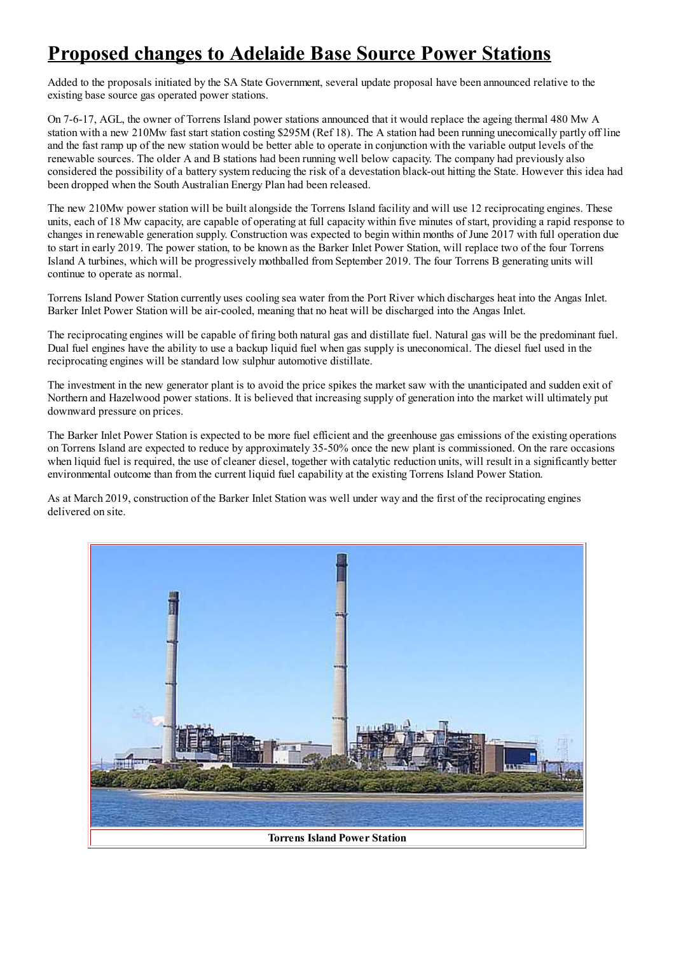# **Proposed changes to Adelaide Base Source Power Stations**

Added to the proposals initiated by the SA State Government, several update proposal have been announced relative to the existing base source gas operated power stations.

On 7-6-17, AGL, the owner of Torrens Island power stations announced that it would replace the ageing thermal 480 Mw A station with a new 210Mw fast start station costing \$295M (Ref 18). The A station had been running unecomically partly off line and the fast ramp up of the new station would be better able to operate in conjunction with the variable output levels of the renewable sources. The older A and B stations had been running well below capacity. The company had previously also considered the possibility of a battery system reducing the risk of a devestation black-out hitting the State. However this idea had been dropped when the South Australian Energy Plan had been released.

The new 210Mw power station will be built alongside the Torrens Island facility and will use 12 reciprocating engines. These units, each of 18 Mw capacity, are capable of operating at full capacity within five minutes of start, providing a rapid response to changes in renewable generation supply. Construction was expected to begin within months of June 2017 with full operation due to start in early 2019. The power station, to be known as the Barker Inlet Power Station, will replace two of the four Torrens Island A turbines, which will be progressively mothballed from September 2019. The four Torrens B generating units will continue to operate as normal.

Torrens Island Power Station currently uses cooling sea water from the Port River which discharges heat into the Angas Inlet. Barker Inlet Power Station will be air-cooled, meaning that no heat will be discharged into the Angas Inlet.

The reciprocating engines will be capable of firing both natural gas and distillate fuel. Natural gas will be the predominant fuel. Dual fuel engines have the ability to use a backup liquid fuel when gas supply is uneconomical. The diesel fuel used in the reciprocating engines will be standard low sulphur automotive distillate.

The investment in the new generator plant is to avoid the price spikes the market saw with the unanticipated and sudden exit of Northern and Hazelwood power stations. It is believed that increasing supply of generation into the market will ultimately put downward pressure on prices.

The Barker Inlet Power Station is expected to be more fuel efficient and the greenhouse gas emissions of the existing operations on Torrens Island are expected to reduce by approximately 35-50% once the new plant is commissioned. On the rare occasions when liquid fuel is required, the use of cleaner diesel, together with catalytic reduction units, will result in a significantly better environmental outcome than from the current liquid fuel capability at the existing Torrens Island Power Station.

As at March 2019, construction of the Barker Inlet Station was well under way and the first of the reciprocating engines delivered on site.

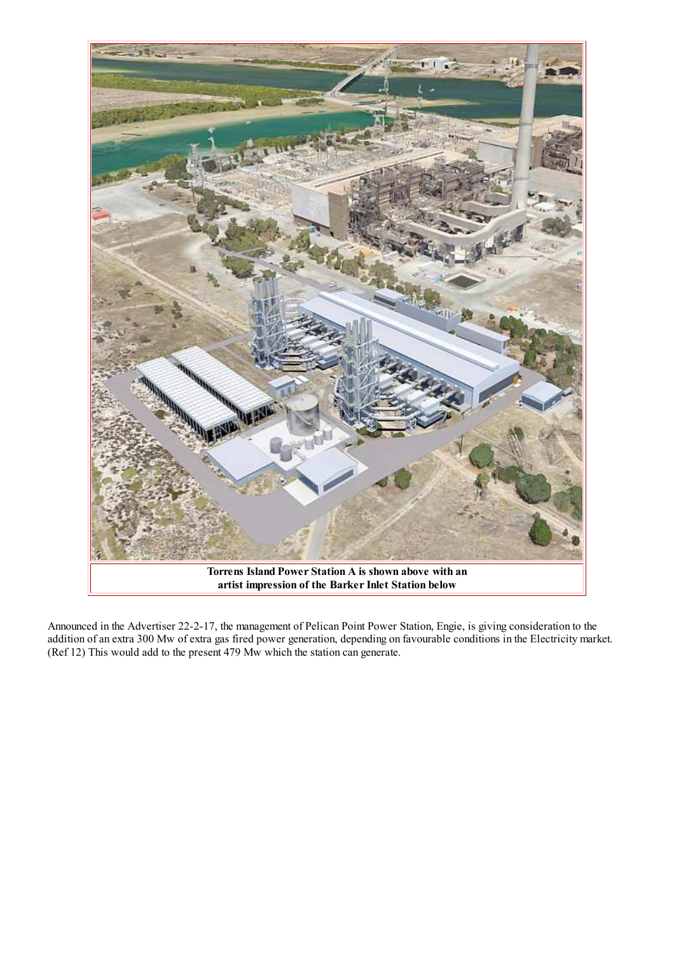

Announced in the Advertiser 22-2-17, the management of Pelican Point Power Station, Engie, is giving consideration to the addition of an extra 300 Mw of extra gas fired power generation, depending on favourable conditions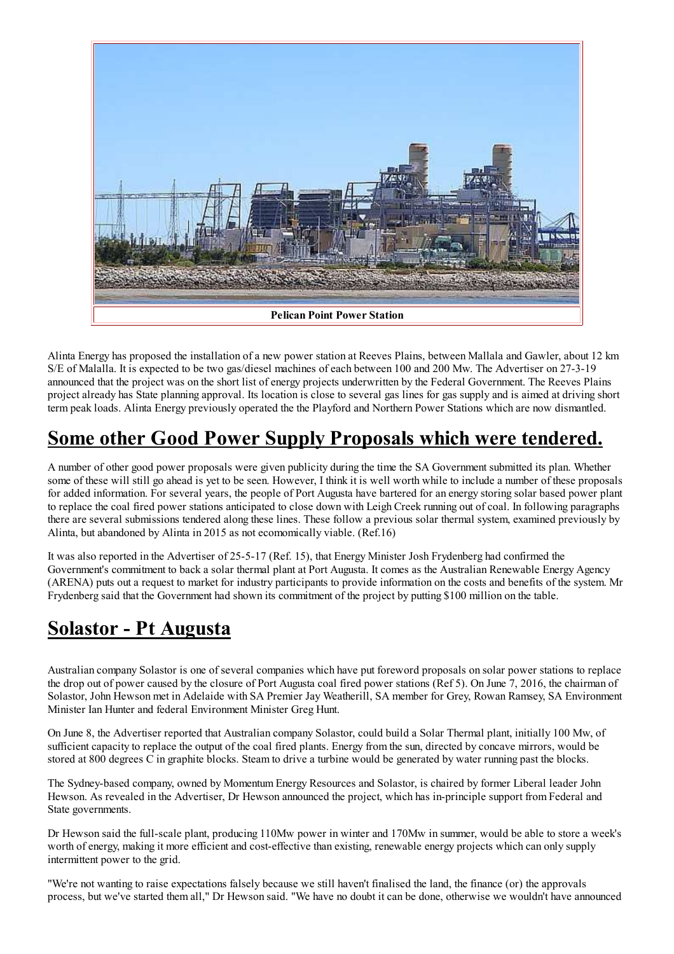

Alinta Energy has proposed the installation of a new power station at Reeves Plains, between Mallala and Gawler, about 12 km S/E of Malalla. It is expected to be two gas/diesel machines of each between 100 and 200 Mw. The Advertiser on 27-3-19 announced that the project was on the short list of energy projects underwritten by the Federal Government. The Reeves Plains project already has State planning approval. Its location is close to several gas lines for gas supply and is aimed at driving short term peak loads. Alinta Energy previously operated the the Playford and Northern Power Stations which are now dismantled.

# Some other Good Power Supply Proposals which were tendered.

A number of other good power proposals were given publicity during the time the SA Government submitted its plan. Whether some of these will still go ahead is vet to be seen. However. I think it is well worth while to include a number of these proposals for added information. For several years, the people of Port Augusta have bartered for an energy storing solar based power plant to replace the coal fired power stations anticipated to close down with Leigh Creek running out of coal. In following paragraphs there are several submissions tendered along these lines. These follow a previous solar thermal system, examined previously by Alinta, but abandoned by Alinta in 2015 as not ecomomically viable. (Ref.16)

It was also reported in the Advertiser of 25-5-17 (Ref. 15), that Energy Minister Josh Frydenberg had confirmed the Government's commitment to back a solar thermal plant at Port Augusta. It comes as the Australian Renewable Energy Agency (ARENA) puts out a request to market for industry participants to provide information on the costs and benefits of the system. Mr Frydenberg said that the Government had shown its commitment of the project by putting \$100 million on the table.

### **Solastor - Pt Augusta**

Australian company Solastor is one of several companies which have put foreword proposals on solar power stations to replace the drop out of power caused by the closure of Port Augusta coal fired power stations (Ref 5). On June 7, 2016, the chairman of Solastor, John Hewson met in Adelaide with SA Premier Jay Weatherill, SA member for Grey, Rowan Ramsey, SA Environment Minister Ian Hunter and federal Environment Minister Greg Hunt.

On June 8, the Advertiser reported that Australian company Solastor, could build a Solar Thermal plant, initially 100 Mw, of sufficient capacity to replace the output of the coal fired plants. Energy from the sun, directed by concave mirrors, would be stored at 800 degrees C in graphite blocks. Steam to drive a turbine would be generated by water running past the blocks.

The Sydney-based company, owned by Momentum Energy Resources and Solastor, is chaired by former Liberal leader John Hewson. As revealed in the Advertiser, Dr Hewson announced the project, which has in-principle support from Federal and State governments.

Dr Hewson said the full-scale plant, producing 110Mw power in winter and 170Mw in summer, would be able to store a week's worth of energy, making it more efficient and cost-effective than existing, renewable energy projects which can only supply intermittent power to the grid.

"We're not wanting to raise expectations falsely because we still haven't finalised the land, the finance (or) the approvals process, but we've started them all," Dr Hewson said. "We have no doubt it can be done, otherwise we wouldn't have announced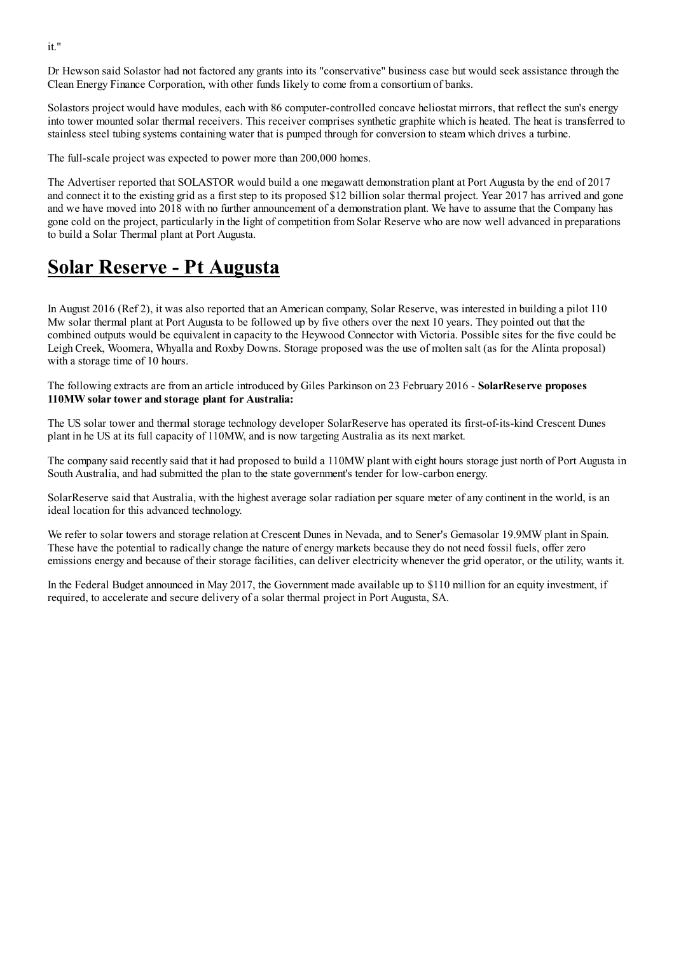Dr Hewson said Solastor had not factored any grants into its "conservative" business case but would seek assistance through the Clean Energy Finance Corporation, with other funds likely to come from a consortium of banks.

Solastors project would have modules, each with 86 computer-controlled concave heliostat mirrors, that reflect the sun's energy into tower mounted solar thermal receivers. This receiver comprises synthetic graphite which is heated. The heat is transferred to stainless steel tubing systems containing water that is pumped through for conversion to steam which drives a turbine.

The full-scale project was expected to power more than 200,000 homes.

The Advertiser reported that SOLASTOR would build a one megawatt demonstration plant at Port Augusta by the end of 2017 and connect it to the existing grid as a first step to its proposed \$12 billion solar thermal project. Year 2017 has arrived and gone and we have moved into 2018 with no further announcement of a demonstration plant. We have to assume that the Company has gone cold on the project, particularly in the light of competition from Solar Reserve who are now well advanced in preparations to build a Solar Thermal plant at Port Augusta.

#### **Solar Reserve - Pt Augusta**

In August 2016 (Ref 2), it was also reported that an American company, Solar Reserve, was interested in building a pilot 110 Mw solar thermal plant at Port Augusta to be followed up by five others over the next 10 years. They pointed out that the combined outputs would be equivalent in capacity to the Heywood Connector with Victoria. Possible sites for the five could be Leigh Creek, Woomera, Whyalla and Roxby Downs. Storage proposed was the use of molten salt (as for the Alinta proposal) with a storage time of 10 hours.

The following extracts are from an article introduced by Giles Parkinson on 23 February 2016 - SolarReserve proposes 110MW solar tower and storage plant for Australia:

The US solar tower and thermal storage technology developer SolarReserve has operated its first-of-its-kind Crescent Dunes plant in he US at its full capacity of 110MW, and is now targeting Australia as its next market.

The company said recently said that it had proposed to build a 110MW plant with eight hours storage just north of Port Augusta in South Australia, and had submitted the plan to the state government's tender for low-carbon energy.

SolarReserve said that Australia, with the highest average solar radiation per square meter of any continent in the world, is an ideal location for this advanced technology.

We refer to solar towers and storage relation at Crescent Dunes in Nevada, and to Sener's Gemasolar 19.9MW plant in Spain. These have the potential to radically change the nature of energy markets because they do not need fossil fuels, offer zero emissions energy and because of their storage facilities, can deliver electricity whenever the grid operator, or the utility, wants it.

In the Federal Budget announced in May 2017, the Government made available up to \$110 million for an equity investment, if required, to accelerate and secure delivery of a solar thermal project in Port Augusta, SA.

it."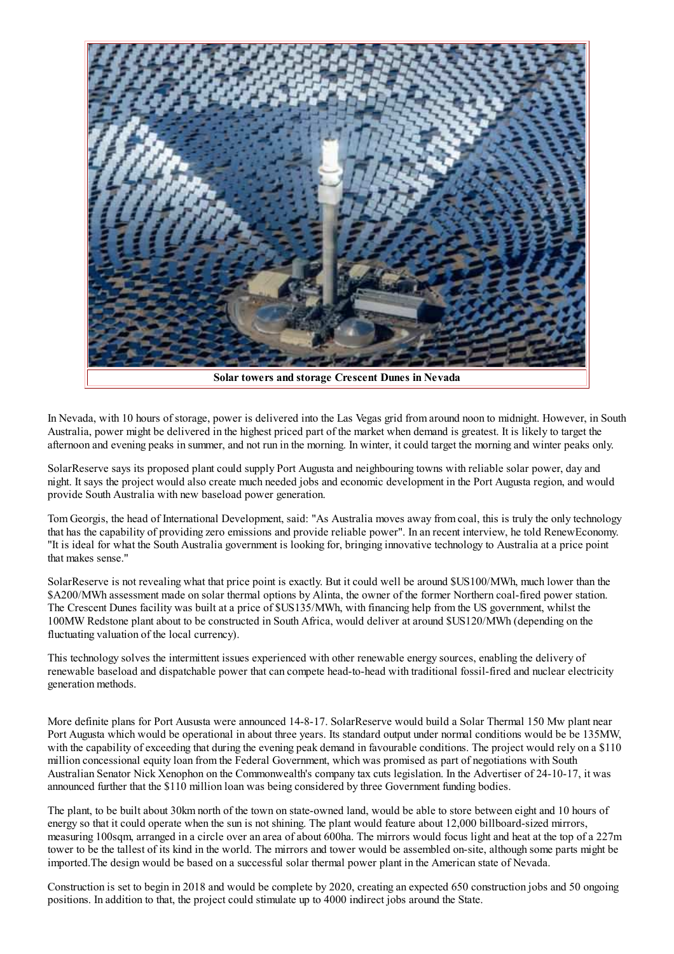

In Nevada, with 10 hours of storage, power is delivered into the Las Vegas grid from around noon to midnight. However, in South Australia, power might be delivered in the highest priced part of the market when demand is greatest. It is likely to target the afternoon and evening peaks in summer, and not run in the morning. In winter, it could target the morning and winter peaks only.

SolarReserve says its proposed plant could supply Port Augusta and neighbouring towns with reliable solar power, day and night. It says the project would also create much needed jobs and economic development in the Port Augusta region, and would provide South Australia with new baseload power generation.

Tom Georgis, the head of International Development, said: "As Australia moves away from coal, this is truly the only technology that has the capability of providing zero emissions and provide reliable power". In an recent interview, he told Renew Economy. "It is ideal for what the South Australia government is looking for, bringing innovative technology to Australia at a price point that makes sense."

SolarReserve is not revealing what that price point is exactly. But it could well be around \$US100/MWh, much lower than the \$A200/MWh assessment made on solar thermal options by Alinta, the owner of the former Northern coal-fired power station. The Crescent Dunes facility was built at a price of \$US135/MWh, with financing help from the US government, whilst the 100MW Redstone plant about to be constructed in South Africa, would deliver at around \$US120/MWh (depending on the fluctuating valuation of the local currency).

This technology solves the intermittent issues experienced with other renewable energy sources, enabling the delivery of renewable baseload and dispatchable power that can compete head-to-head with traditional fossil-fired and nuclear electricity generation methods.

More definite plans for Port Aususta were announced 14-8-17. SolarReserve would build a Solar Thermal 150 Mw plant near Port Augusta which would be operational in about three years. Its standard output under normal conditions would be be 135MW. with the capability of exceeding that during the evening peak demand in favourable conditions. The project would rely on a \$110 million concessional equity loan from the Federal Government, which was promised as part of negotiations with South Australian Senator Nick Xenophon on the Commonwealth's company tax cuts legislation. In the Advertiser of 24-10-17, it was announced further that the \$110 million loan was being considered by three Government funding bodies.

The plant, to be built about 30km north of the town on state-owned land, would be able to store between eight and 10 hours of energy so that it could operate when the sun is not shining. The plant would feature about 12,000 billboard-sized mirrors, measuring 100sqm, arranged in a circle over an area of about 600ha. The mirrors would focus light and heat at the top of a 227m tower to be the tallest of its kind in the world. The mirrors and tower would be assembled on-site, although some parts might be imported. The design would be based on a successful solar thermal power plant in the American state of Nevada.

Construction is set to begin in 2018 and would be complete by 2020, creating an expected 650 construction jobs and 50 ongoing positions. In addition to that, the project could stimulate up to 4000 indirect jobs around the State.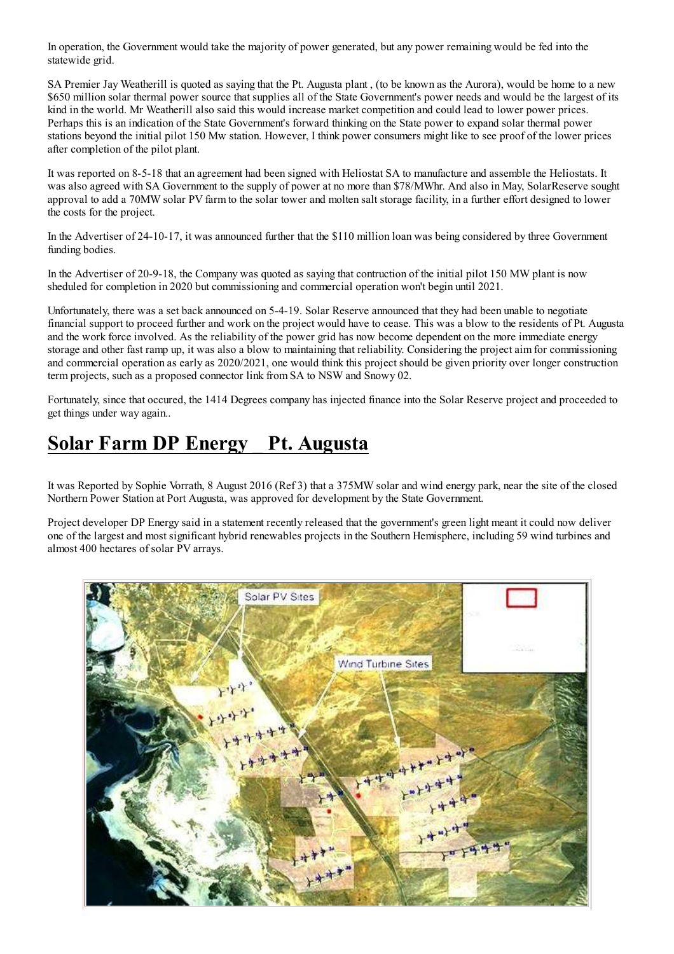In operation, the Government would take the majority of power generated, but any power remaining would be fed into the statewide grid.

SA Premier Jay Weatherill is quoted as saying that the Pt. Augusta plant, (to be known as the Aurora), would be home to a new \$650 million solar thermal power source that supplies all of the State Government's power needs and would be the largest of its kind in the world. Mr Weatherill also said this would increase market competition and could lead to lower power prices. Perhaps this is an indication of the State Government's forward thinking on the State power to expand solar thermal power stations beyond the initial pilot 150 Mw station. However, I think power consumers might like to see proof of the lower prices after completion of the pilot plant.

It was reported on 8-5-18 that an agreement had been signed with Heliostat SA to manufacture and assemble the Heliostats. It was also agreed with SA Government to the supply of power at no more than \$78/MWhr. And also in May, SolarReserve sought approval to add a 70MW solar PV farm to the solar tower and molten salt storage facility, in a further effort designed to lower the costs for the project.

In the Advertiser of 24-10-17, it was announced further that the \$110 million loan was being considered by three Government funding bodies.

In the Advertiser of 20-9-18, the Company was quoted as saying that contruction of the initial pilot 150 MW plant is now sheduled for completion in 2020 but commissioning and commercial operation won't begin until 2021.

Unfortunately, there was a set back announced on 5-4-19. Solar Reserve announced that they had been unable to negotiate financial support to proceed further and work on the project would have to cease. This was a blow to the residents of Pt. Augusta and the work force involved. As the reliability of the power grid has now become dependent on the more immediate energy storage and other fast ramp up, it was also a blow to maintaining that reliability. Considering the project aim for commissioning and commercial operation as early as 2020/2021, one would think this project should be given priority over longer construction term projects, such as a proposed connector link from SA to NSW and Snowy 02.

Fortunately, since that occured, the 1414 Degrees company has injected finance into the Solar Reserve project and proceeded to get things under way again...

#### Solar Farm DP Energy Pt. Augusta

It was Reported by Sophie Vorrath, 8 August 2016 (Ref 3) that a 375MW solar and wind energy park, near the site of the closed Northern Power Station at Port Augusta, was approved for development by the State Government.

Project developer DP Energy said in a statement recently released that the government's green light meant it could now deliver one of the largest and most significant hybrid renewables projects in the Southern Hemisphere, including 59 wind turbines and almost 400 hectares of solar PV arrays.

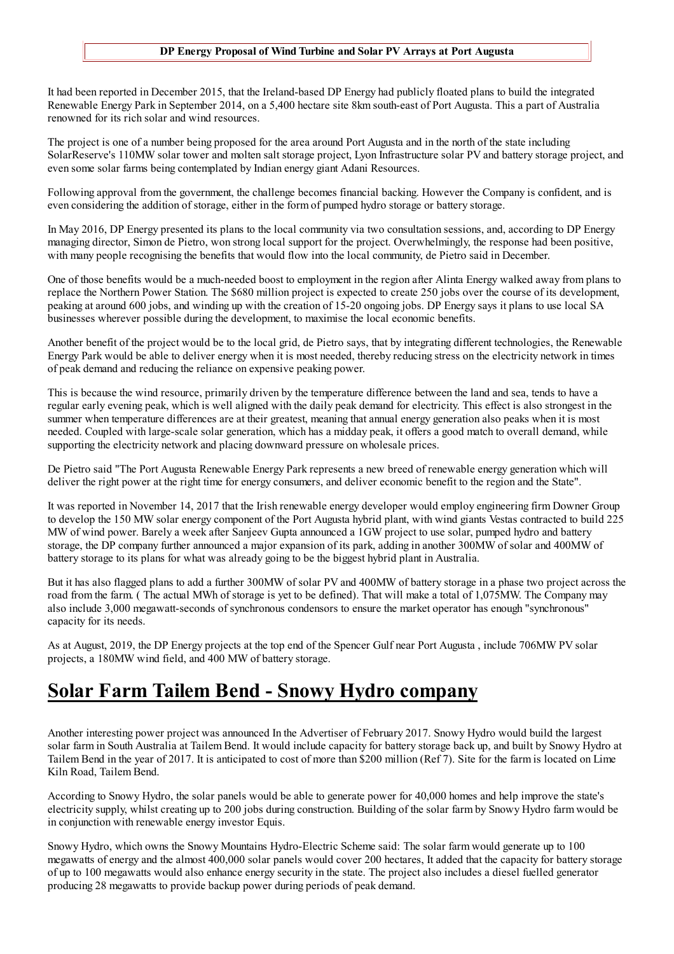#### DP Energy Proposal of Wind Turbine and Solar PV Arrays at Port Augusta

It had been reported in December 2015, that the Ireland-based DP Energy had publicly floated plans to build the integrated Renewable Energy Park in September 2014, on a 5,400 hectare site 8km south-east of Port Augusta. This a part of Australia renowned for its rich solar and wind resources.

The project is one of a number being proposed for the area around Port Augusta and in the north of the state including SolarReserve's 110MW solar tower and molten salt storage project, Lyon Infrastructure solar PV and battery storage project, and even some solar farms being contemplated by Indian energy giant Adani Resources.

Following approval from the government, the challenge becomes financial backing. However the Company is confident, and is even considering the addition of storage, either in the form of pumped hydro storage or battery storage.

In May 2016, DP Energy presented its plans to the local community via two consultation sessions, and, according to DP Energy managing director, Simon de Pietro, won strong local support for the project. Overwhelmingly, the response had been positive, with many people recognising the benefits that would flow into the local community, de Pietro said in December.

One of those benefits would be a much-needed boost to employment in the region after Alinta Energy walked away from plans to replace the Northern Power Station. The \$680 million project is expected to create 250 jobs over the course of its development, peaking at around 600 jobs, and winding up with the creation of 15-20 ongoing jobs. DP Energy says it plans to use local SA businesses wherever possible during the development, to maximise the local economic benefits.

Another benefit of the project would be to the local grid, de Pietro says, that by integrating different technologies, the Renewable Energy Park would be able to deliver energy when it is most needed, thereby reducing stress on the electricity network in times of peak demand and reducing the reliance on expensive peaking power.

This is because the wind resource, primarily driven by the temperature difference between the land and sea, tends to have a regular early evening peak, which is well aligned with the daily peak demand for electricity. This effect is also strongest in the summer when temperature differences are at their greatest, meaning that annual energy generation also peaks when it is most needed. Coupled with large-scale solar generation, which has a midday peak, it offers a good match to overall demand, while supporting the electricity network and placing downward pressure on wholesale prices.

De Pietro said "The Port Augusta Renewable Energy Park represents a new breed of renewable energy generation which will deliver the right power at the right time for energy consumers, and deliver economic benefit to the region and the State".

It was reported in November 14, 2017 that the Irish renewable energy developer would employ engineering firm Downer Group to develop the 150 MW solar energy component of the Port Augusta hybrid plant, with wind giants Vestas contracted to build 225 MW of wind power. Barely a week after Sanjeev Gupta announced a 1GW project to use solar, pumped hydro and battery storage, the DP company further announced a major expansion of its park, adding in another 300MW of solar and 400MW of battery storage to its plans for what was already going to be the biggest hybrid plant in Australia.

But it has also flagged plans to add a further 300MW of solar PV and 400MW of battery storage in a phase two project across the road from the farm. (The actual MWh of storage is yet to be defined). That will make a total of 1,075MW. The Company may also include 3,000 megawatt-seconds of synchronous condensors to ensure the market operator has enough "synchronous" capacity for its needs.

As at August, 2019, the DP Energy projects at the top end of the Spencer Gulf near Port Augusta, include 706MW PV solar projects, a 180MW wind field, and 400 MW of battery storage.

#### **Solar Farm Tailem Bend - Snowy Hydro company**

Another interesting power project was announced In the Advertiser of February 2017. Snowy Hydro would build the largest solar farm in South Australia at Tailem Bend. It would include capacity for battery storage back up, and built by Snowy Hydro at Tailem Bend in the year of 2017. It is anticipated to cost of more than \$200 million (Ref 7). Site for the farm is located on Lime Kiln Road, Tailem Bend.

According to Snowy Hydro, the solar panels would be able to generate power for 40,000 homes and help improve the state's electricity supply, whilst creating up to 200 jobs during construction. Building of the solar farm by Snowy Hydro farm would be in conjunction with renewable energy investor Equis.

Snowy Hydro, which owns the Snowy Mountains Hydro-Electric Scheme said: The solar farm would generate up to 100 megawatts of energy and the almost 400,000 solar panels would cover 200 hectares, It added that the capacity for battery storage of up to 100 megawatts would also enhance energy security in the state. The project also includes a diesel fuelled generator producing 28 megawatts to provide backup power during periods of peak demand.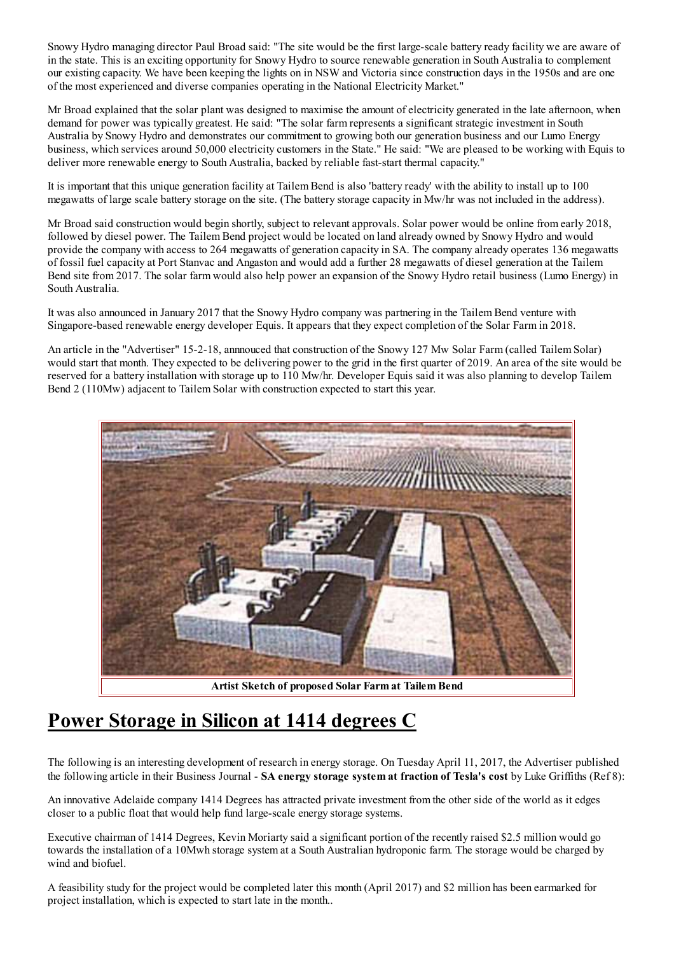Snowy Hydro managing director Paul Broad said: "The site would be the first large-scale battery ready facility we are aware of in the state. This is an exciting opportunity for Snowy Hydro to source renewable generation in South Australia to complement our existing capacity. We have been keeping the lights on in NSW and Victoria since construction days in the 1950s and are one of the most experienced and diverse companies operating in the National Electricity Market."

Mr Broad explained that the solar plant was designed to maximise the amount of electricity generated in the late afternoon, when demand for power was typically greatest. He said: "The solar farm represents a significant strategic investment in South Australia by Snowy Hydro and demonstrates our commitment to growing both our generation business and our Lumo Energy business, which services around 50,000 electricity customers in the State." He said: "We are pleased to be working with Equis to deliver more renewable energy to South Australia, backed by reliable fast-start thermal capacity."

It is important that this unique generation facility at Tailem Bend is also 'battery ready' with the ability to install up to 100 megawatts of large scale battery storage on the site. (The battery storage capacity in Mw/hr was not included in the address).

Mr Broad said construction would begin shortly, subject to relevant approvals. Solar power would be online from early 2018. followed by diesel power. The Tailem Bend project would be located on land already owned by Snowy Hydro and would provide the company with access to 264 megawatts of generation capacity in SA. The company already operates 136 megawatts of fossil fuel capacity at Port Stanyac and Angaston and would add a further 28 megawatts of diesel generation at the Tailem Bend site from 2017. The solar farm would also help power an expansion of the Snowy Hydro retail business (Lumo Energy) in South Australia.

It was also announced in January 2017 that the Snowy Hydro company was partnering in the Tailem Bend venture with Singapore-based renewable energy developer Equis. It appears that they expect completion of the Solar Farm in 2018.

An article in the "Advertiser" 15-2-18, annouced that construction of the Snowy 127 Mw Solar Farm (called Tailem Solar) would start that month. They expected to be delivering power to the grid in the first quarter of 2019. An area of the site would be reserved for a battery installation with storage up to 110 Mw/hr. Developer Equis said it was also planning to develop Tailem Bend 2 (110Mw) adjacent to Tailem Solar with construction expected to start this year.



Artist Sketch of proposed Solar Farm at Tailem Bend

### Power Storage in Silicon at 1414 degrees C

The following is an interesting development of research in energy storage. On Tuesday April 11, 2017, the Advertiser published the following article in their Business Journal - SA energy storage system at fraction of Tesla's cost by Luke Griffiths (Ref 8):

An innovative Adelaide company 1414 Degrees has attracted private investment from the other side of the world as it edges closer to a public float that would help fund large-scale energy storage systems.

Executive chairman of 1414 Degrees, Kevin Moriarty said a significant portion of the recently raised \$2.5 million would go towards the installation of a 10Mwh storage system at a South Australian hydroponic farm. The storage would be charged by wind and biofuel.

A feasibility study for the project would be completed later this month (April 2017) and \$2 million has been earmarked for project installation, which is expected to start late in the month...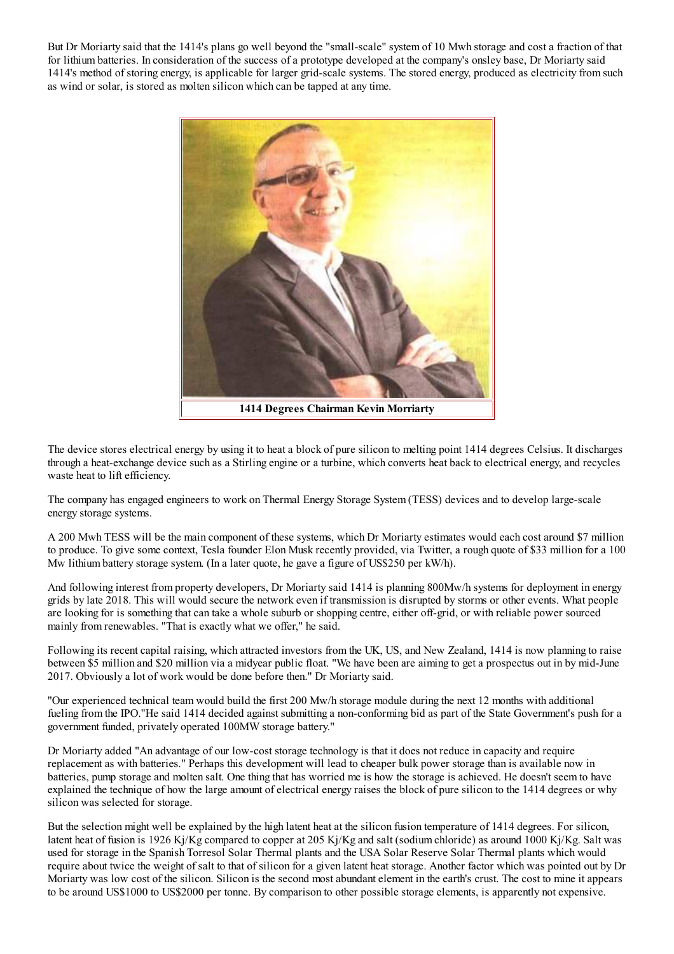But Dr Moriarty said that the 1414's plans go well beyond the "small-scale" system of 10 Mwh storage and cost a fraction of that for lithium batteries. In consideration of the success of a prototype developed at the company's onsley base. Dr Moriarty said 1414's method of storing energy, is applicable for larger grid-scale systems. The stored energy, produced as electricity from such as wind or solar, is stored as molten silicon which can be tapped at any time.



The device stores electrical energy by using it to heat a block of pure silicon to melting point 1414 degrees Celsius. It discharges through a heat-exchange device such as a Stirling engine or a turbine, which converts heat back to electrical energy, and recycles waste heat to lift efficiency.

The company has engaged engineers to work on Thermal Energy Storage System (TESS) devices and to develop large-scale energy storage systems.

A 200 Mwh TESS will be the main component of these systems, which Dr Moriarty estimates would each cost around \$7 million to produce. To give some context, Tesla founder Elon Musk recently provided, via Twitter, a rough quote of \$33 million for a 100 Mw lithium battery storage system. (In a later quote, he gave a figure of US\$250 per kW/h).

And following interest from property developers, Dr Moriarty said 1414 is planning 800Mw/h systems for deployment in energy grids by late 2018. This will would secure the network even if transmission is disrupted by storms or other events. What people are looking for is something that can take a whole suburb or shopping centre, either off-grid, or with reliable power sourced mainly from renewables. "That is exactly what we offer," he said.

Following its recent capital raising, which attracted investors from the UK, US, and New Zealand, 1414 is now planning to raise between \$5 million and \$20 million via a midyear public float. "We have been are aiming to get a prospectus out in by mid-June 2017. Obviously a lot of work would be done before then." Dr Moriarty said.

"Our experienced technical team would build the first 200 Mw/h storage module during the next 12 months with additional fueling from the IPO."He said 1414 decided against submitting a non-conforming bid as part of the State Government's push for a government funded, privately operated 100MW storage battery."

Dr Moriarty added "An advantage of our low-cost storage technology is that it does not reduce in capacity and require replacement as with batteries." Perhaps this development will lead to cheaper bulk power storage than is available now in batteries, pump storage and molten salt. One thing that has worried me is how the storage is achieved. He doesn't seem to have explained the technique of how the large amount of electrical energy raises the block of pure silicon to the 1414 degrees or why silicon was selected for storage.

But the selection might well be explained by the high latent heat at the silicon fusion temperature of 1414 degrees. For silicon, latent heat of fusion is 1926 Kj/Kg compared to copper at 205 Kj/Kg and salt (sodium chloride) as around 1000 Kj/Kg. Salt was used for storage in the Spanish Torresol Solar Thermal plants and the USA Solar Reserve Solar Thermal plants which would require about twice the weight of salt to that of silicon for a given latent heat storage. Another factor which was pointed out by Dr Moriarty was low cost of the silicon. Silicon is the second most abundant element in the earth's crust. The cost to mine it appears to be around US\$1000 to US\$2000 per tonne. By comparison to other possible storage elements, is apparently not expensive.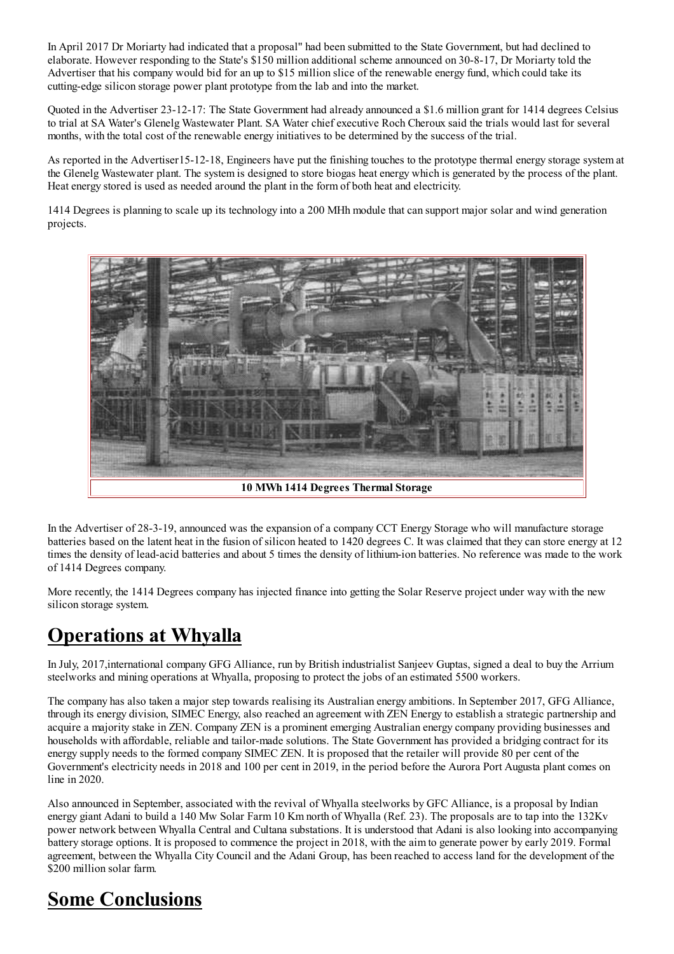In April 2017 Dr Moriarty had indicated that a proposal" had been submitted to the State Government, but had declined to elaborate. However responding to the State's \$150 million additional scheme announced on 30-8-17. Dr Moriarty told the Advertiser that his company would bid for an up to \$15 million slice of the renewable energy fund, which could take its cutting-edge silicon storage power plant prototype from the lab and into the market.

Ouoted in the Advertiser 23-12-17: The State Government had already announced a \$1.6 million grant for 1414 degrees Celsius to trial at SA Water's Glenelg Wastewater Plant. SA Water chief executive Roch Cheroux said the trials would last for several months, with the total cost of the renewable energy initiatives to be determined by the success of the trial.

As reported in the Advertiser15-12-18, Engineers have put the finishing touches to the prototype thermal energy storage system at the Glenelg Wastewater plant. The system is designed to store biogas heat energy which is generated by the process of the plant. Heat energy stored is used as needed around the plant in the form of both heat and electricity.

1414 Degrees is planning to scale up its technology into a 200 MHh module that can support major solar and wind generation projects.



In the Advertiser of 28-3-19, announced was the expansion of a company CCT Energy Storage who will manufacture storage batteries based on the latent heat in the fusion of silicon heated to 1420 degrees C. It was claimed that they can store energy at 12 times the density of lead-acid batteries and about 5 times the density of lithium-ion batteries. No reference was made to the work of 1414 Degrees company.

More recently, the 1414 Degrees company has injected finance into getting the Solar Reserve project under way with the new silicon storage system.

### **Operations at Whyalla**

In July, 2017, international company GFG Alliance, run by British industrialist Sanjeev Guptas, signed a deal to buy the Arrium steelworks and mining operations at Whyalla, proposing to protect the jobs of an estimated 5500 workers.

The company has also taken a major step towards realising its Australian energy ambitions. In September 2017, GFG Alliance, through its energy division, SIMEC Energy, also reached an agreement with ZEN Energy to establish a strategic partnership and acquire a majority stake in ZEN. Company ZEN is a prominent emerging Australian energy company providing businesses and households with affordable, reliable and tailor-made solutions. The State Government has provided a bridging contract for its energy supply needs to the formed company SIMEC ZEN. It is proposed that the retailer will provide 80 per cent of the Government's electricity needs in 2018 and 100 per cent in 2019, in the period before the Aurora Port Augusta plant comes on line in  $2020$ .

Also announced in September, associated with the revival of Whyalla steelworks by GFC Alliance, is a proposal by Indian energy giant Adani to build a 140 Mw Solar Farm 10 Km north of Whyalla (Ref. 23). The proposals are to tap into the 132Kv power network between Whyalla Central and Cultana substations. It is understood that Adani is also looking into accompanying battery storage options. It is proposed to commence the project in 2018, with the aim to generate power by early 2019. Formal agreement, between the Whyalla City Council and the Adani Group, has been reached to access land for the development of the \$200 million solar farm.

# **Some Conclusions**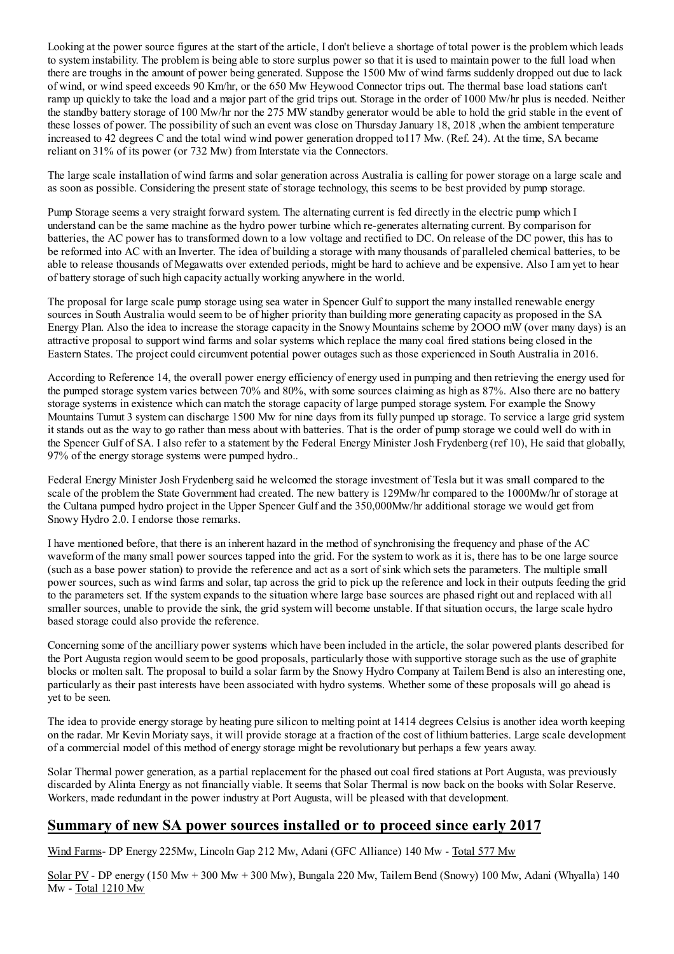Looking at the power source figures at the start of the article, I don't believe a shortage of total power is the problem which leads to system instability. The problem is being able to store surplus power so that it is used to maintain power to the full load when there are troughs in the amount of power being generated. Suppose the 1500 Mw of wind farms suddenly dropped out due to lack of wind, or wind speed exceeds 90 Km/hr, or the 650 Mw Heywood Connector trips out. The thermal base load stations can't ramp up quickly to take the load and a major part of the grid trips out. Storage in the order of 1000 Mw/hr plus is needed. Neither the standby battery storage of 100 Mw/hr nor the 275 MW standby generator would be able to hold the grid stable in the event of these losses of power. The possibility of such an event was close on Thursday January 18, 2018, when the ambient temperature increased to 42 degrees C and the total wind wind power generation dropped to 117 Mw. (Ref. 24). At the time, SA became reliant on 31% of its power (or 732 Mw) from Interstate via the Connectors.

The large scale installation of wind farms and solar generation across Australia is calling for power storage on a large scale and as soon as possible. Considering the present state of storage technology, this seems to be best provided by pump storage.

Pump Storage seems a very straight forward system. The alternating current is fed directly in the electric pump which I understand can be the same machine as the hydro power turbine which re-generates alternating current. By comparison for batteries, the AC power has to transformed down to a low voltage and rectified to DC. On release of the DC power, this has to be reformed into AC with an Inverter. The idea of building a storage with many thousands of paralleled chemical batteries, to be able to release thousands of Megawatts over extended periods, might be hard to achieve and be expensive. Also I am yet to hear of battery storage of such high capacity actually working anywhere in the world.

The proposal for large scale pump storage using sea water in Spencer Gulf to support the many installed renewable energy sources in South Australia would seem to be of higher priority than building more generating capacity as proposed in the SA Energy Plan. Also the idea to increase the storage capacity in the Snowy Mountains scheme by 2000 mW (over many days) is an attractive proposal to support wind farms and solar systems which replace the many coal fired stations being closed in the Eastern States. The project could circumvent potential power outages such as those experienced in South Australia in 2016.

According to Reference 14, the overall power energy efficiency of energy used in pumping and then retrieving the energy used for the pumped storage system varies between 70% and 80%, with some sources claiming as high as 87%. Also there are no battery storage systems in existence which can match the storage capacity of large pumped storage system. For example the Snowy Mountains Tumut 3 system can discharge 1500 Mw for nine days from its fully pumped up storage. To service a large grid system it stands out as the way to go rather than mess about with batteries. That is the order of pump storage we could well do with in the Spencer Gulf of SA. I also refer to a statement by the Federal Energy Minister Josh Frydenberg (ref 10), He said that globally, 97% of the energy storage systems were pumped hydro...

Federal Energy Minister Josh Frydenberg said he welcomed the storage investment of Tesla but it was small compared to the scale of the problem the State Government had created. The new battery is 129Mw/hr compared to the 1000Mw/hr of storage at the Cultana pumped hydro project in the Upper Spencer Gulf and the 350,000Mw/hr additional storage we would get from Snowy Hydro 2.0. I endorse those remarks.

I have mentioned before, that there is an inherent hazard in the method of synchronising the frequency and phase of the AC waveform of the many small power sources tapped into the grid. For the system to work as it is, there has to be one large source (such as a base power station) to provide the reference and act as a sort of sink which sets the parameters. The multiple small power sources, such as wind farms and solar, tap across the grid to pick up the reference and lock in their outputs feeding the grid to the parameters set. If the system expands to the situation where large base sources are phased right out and replaced with all smaller sources, unable to provide the sink, the grid system will become unstable. If that situation occurs, the large scale hydro based storage could also provide the reference.

Concerning some of the ancilliary power systems which have been included in the article, the solar powered plants described for the Port Augusta region would seem to be good proposals, particularly those with supportive storage such as the use of graphite blocks or molten salt. The proposal to build a solar farm by the Snowy Hydro Company at Tailem Bend is also an interesting one, particularly as their past interests have been associated with hydro systems. Whether some of these proposals will go ahead is yet to be seen.

The idea to provide energy storage by heating pure silicon to melting point at 1414 degrees Celsius is another idea worth keeping on the radar. Mr Kevin Moriaty says, it will provide storage at a fraction of the cost of lithium batteries. Large scale development of a commercial model of this method of energy storage might be revolutionary but perhaps a few years away.

Solar Thermal power generation, as a partial replacement for the phased out coal fired stations at Port Augusta, was previously discarded by Alinta Energy as not financially viable. It seems that Solar Thermal is now back on the books with Solar Reserve. Workers, made redundant in the power industry at Port Augusta, will be pleased with that development.

#### Summary of new SA power sources installed or to proceed since early 2017

Wind Farms- DP Energy 225Mw, Lincoln Gap 212 Mw, Adani (GFC Alliance) 140 Mw - Total 577 Mw

Solar PV - DP energy (150 Mw + 300 Mw + 300 Mw), Bungala 220 Mw, Tailem Bend (Snowy) 100 Mw, Adani (Whyalla) 140 Mw - Total 1210 Mw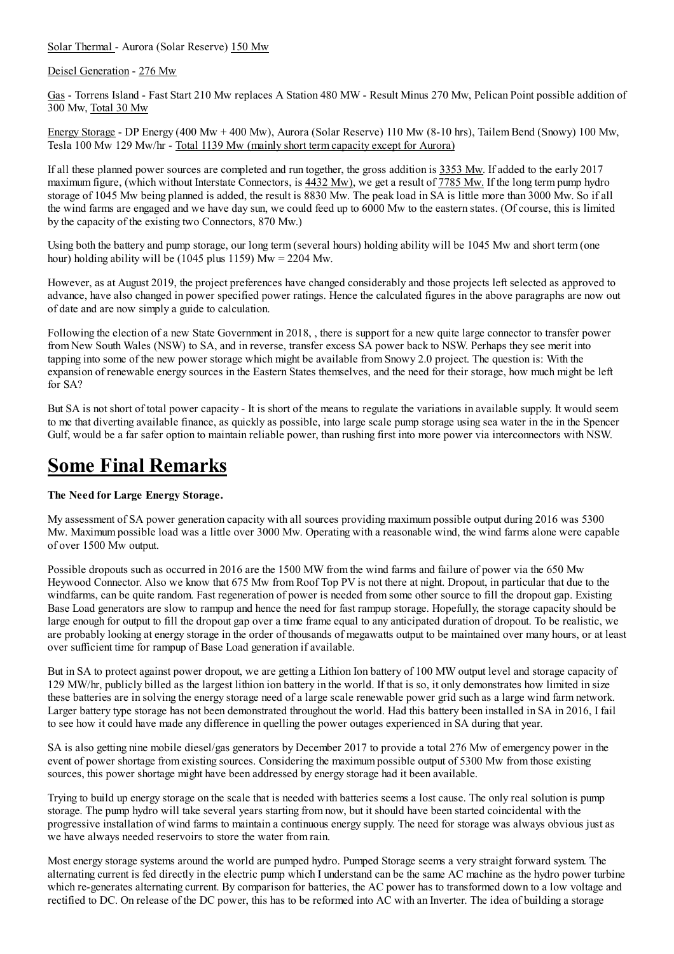Solar Thermal - Aurora (Solar Reserve) 150 Mw

Deisel Generation - 276 Mw

Gas - Torrens Island - Fast Start 210 Mw replaces A Station 480 MW - Result Minus 270 Mw. Pelican Point possible addition of 300 Mw, Total 30 Mw

Energy Storage - DP Energy (400 Mw + 400 Mw), Aurora (Solar Reserve) 110 Mw (8-10 hrs), Tailem Bend (Snowy) 100 Mw, Tesla 100 Mw 129 Mw/hr - Total 1139 Mw (mainly short term capacity except for Aurora)

If all these planned power sources are completed and run together, the gross addition is 3353 Mw. If added to the early 2017 maximum figure, (which without Interstate Connectors, is 4432 Mw), we get a result of 7785 Mw. If the long term pump hydro storage of 1045 Mw being planned is added, the result is 8830 Mw. The peak load in SA is little more than 3000 Mw. So if all the wind farms are engaged and we have day sun, we could feed up to 6000 Mw to the eastern states. (Of course, this is limited by the capacity of the existing two Connectors, 870 Mw.)

Using both the battery and pump storage, our long term (several hours) holding ability will be 1045 Mw and short term (one hour) holding ability will be (1045 plus 1159)  $Mw = 2204$  Mw.

However, as at August 2019, the project preferences have changed considerably and those projects left selected as approved to advance, have also changed in power specified power ratings. Hence the calculated figures in the above paragraphs are now out of date and are now simply a guide to calculation.

Following the election of a new State Government in 2018, there is support for a new quite large connector to transfer power from New South Wales (NSW) to SA, and in reverse, transfer excess SA power back to NSW. Perhaps they see merit into tapping into some of the new power storage which might be available from Snowy 2.0 project. The question is: With the expansion of renewable energy sources in the Eastern States themselves, and the need for their storage, how much might be left for SA?

But SA is not short of total power capacity - It is short of the means to regulate the variations in available supply. It would seem to me that diverting available finance, as quickly as possible, into large scale pump storage using sea water in the in the Spencer Gulf, would be a far safer option to maintain reliable power, than rushing first into more power via interconnectors with NSW.

#### **Some Final Remarks**

#### The Need for Large Energy Storage.

My assessment of SA power generation capacity with all sources providing maximum possible output during 2016 was 5300 Mw. Maximum possible load was a little over 3000 Mw. Operating with a reasonable wind, the wind farms alone were capable of over 1500 Mw output.

Possible dropouts such as occurred in 2016 are the 1500 MW from the wind farms and failure of power via the 650 Mw Heywood Connector. Also we know that 675 Mw from Roof Top PV is not there at night. Dropout, in particular that due to the windfarms, can be quite random. Fast regeneration of power is needed from some other source to fill the dropout gap. Existing Base Load generators are slow to rampup and hence the need for fast rampup storage. Hopefully, the storage capacity should be large enough for output to fill the dropout gap over a time frame equal to any anticipated duration of dropout. To be realistic, we are probably looking at energy storage in the order of thousands of megawatts output to be maintained over many hours, or at least over sufficient time for rampup of Base Load generation if available.

But in SA to protect against power dropout, we are getting a Lithion Ion battery of 100 MW output level and storage capacity of 129 MW/hr, publicly billed as the largest lithion ion battery in the world. If that is so, it only demonstrates how limited in size these batteries are in solving the energy storage need of a large scale renewable power grid such as a large wind farm network. Larger battery type storage has not been demonstrated throughout the world. Had this battery been installed in SA in 2016, I fail to see how it could have made any difference in quelling the power outages experienced in SA during that year.

SA is also getting nine mobile diesel/gas generators by December 2017 to provide a total 276 Mw of emergency power in the event of power shortage from existing sources. Considering the maximum possible output of 5300 Mw from those existing sources, this power shortage might have been addressed by energy storage had it been available.

Trying to build up energy storage on the scale that is needed with batteries seems a lost cause. The only real solution is pump storage. The pump hydro will take several years starting from now, but it should have been started coincidental with the progressive installation of wind farms to maintain a continuous energy supply. The need for storage was always obvious just as we have always needed reservoirs to store the water from rain.

Most energy storage systems around the world are pumped hydro. Pumped Storage seems a very straight forward system. The alternating current is fed directly in the electric pump which I understand can be the same AC machine as the hydro power turbine which re-generates alternating current. By comparison for batteries, the AC power has to transformed down to a low voltage and rectified to DC. On release of the DC power, this has to be reformed into AC with an Inverter. The idea of building a storage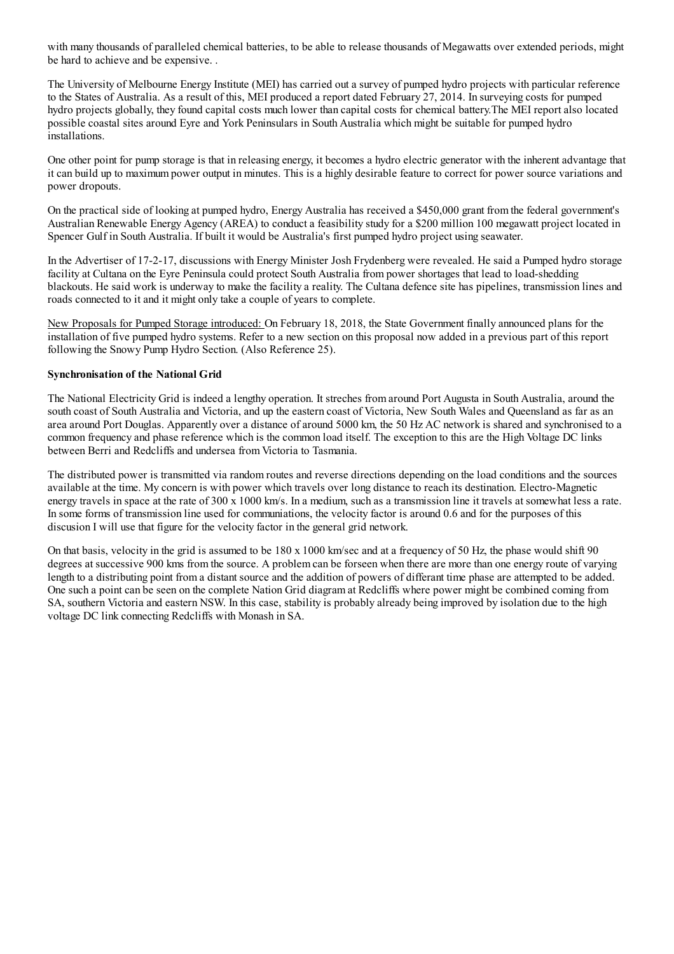with many thousands of paralleled chemical batteries, to be able to release thousands of Megawatts over extended periods, might be hard to achieve and be expensive...

The University of Melbourne Energy Institute (MEI) has carried out a survey of pumped hydro projects with particular reference to the States of Australia. As a result of this, MEI produced a report dated February 27, 2014. In surveying costs for pumped hydro projects globally, they found capital costs much lower than capital costs for chemical battery. The MEI report also located possible coastal sites around Eyre and York Peninsulars in South Australia which might be suitable for pumped hydro installations.

One other point for pump storage is that in releasing energy, it becomes a hydro electric generator with the inherent advantage that it can build up to maximum power output in minutes. This is a highly desirable feature to correct for power source variations and power dropouts.

On the practical side of looking at pumped hydro. Energy Australia has received a \$450,000 grant from the federal government's Australian Renewable Energy Agency (AREA) to conduct a feasibility study for a \$200 million 100 megawatt project located in Spencer Gulf in South Australia. If built it would be Australia's first pumped hydro project using seawater.

In the Advertiser of 17-2-17, discussions with Energy Minister Josh Frydenberg were revealed. He said a Pumped hydro storage facility at Cultana on the Evre Peninsula could protect South Australia from power shortages that lead to load-shedding blackouts. He said work is underway to make the facility a reality. The Cultana defence site has pipelines, transmission lines and roads connected to it and it might only take a couple of years to complete.

New Proposals for Pumped Storage introduced: On February 18, 2018, the State Government finally announced plans for the installation of five pumped hydro systems. Refer to a new section on this proposal now added in a previous part of this report following the Snowy Pump Hydro Section. (Also Reference 25).

#### **Synchronisation of the National Grid**

The National Electricity Grid is indeed a lengthy operation. It streches from around Port Augusta in South Australia, around the south coast of South Australia and Victoria, and up the eastern coast of Victoria, New South Wales and Queensland as far as an area around Port Douglas. Apparently over a distance of around 5000 km, the 50 Hz AC network is shared and synchronised to a common frequency and phase reference which is the common load itself. The exception to this are the High Voltage DC links between Berri and Redcliffs and undersea from Victoria to Tasmania.

The distributed power is transmitted via random routes and reverse directions depending on the load conditions and the sources available at the time. My concern is with power which travels over long distance to reach its destination. Electro-Magnetic energy travels in space at the rate of 300 x 1000 km/s. In a medium, such as a transmission line it travels at somewhat less a rate. In some forms of transmission line used for communiations, the velocity factor is around 0.6 and for the purposes of this discussion I will use that figure for the velocity factor in the general grid network.

On that basis, velocity in the grid is assumed to be 180 x 1000 km/sec and at a frequency of 50 Hz, the phase would shift 90 degrees at successive 900 kms from the source. A problem can be forseen when there are more than one energy route of varying length to a distributing point from a distant source and the addition of powers of differant time phase are attempted to be added. One such a point can be seen on the complete Nation Grid diagram at Redcliffs where power might be combined coming from SA, southern Victoria and eastern NSW. In this case, stability is probably already being improved by isolation due to the high voltage DC link connecting Redcliffs with Monash in SA.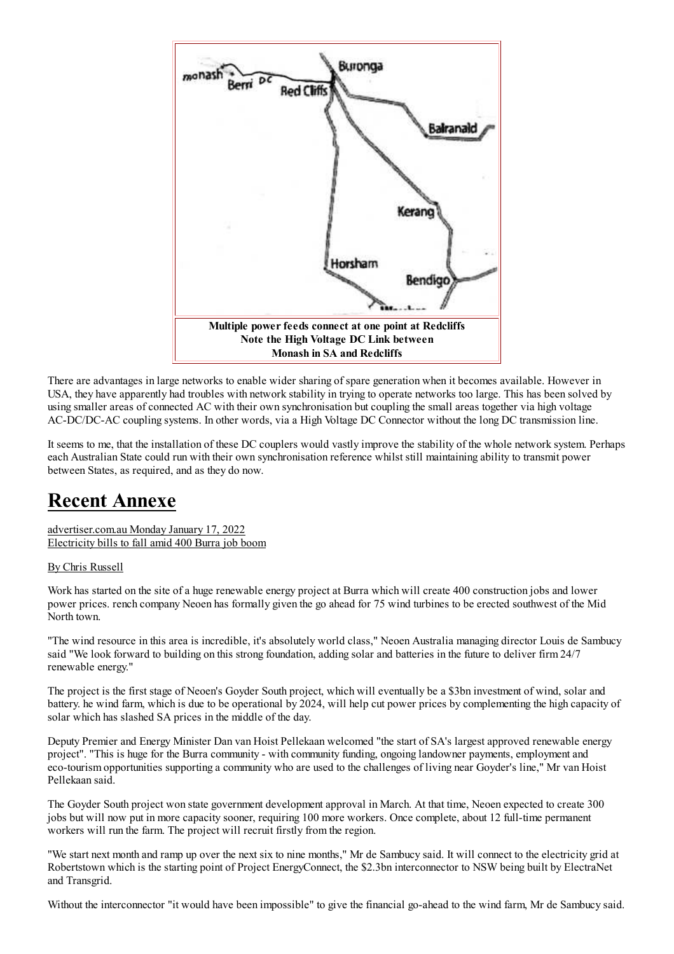

There are advantages in large networks to enable wider sharing of spare generation when it becomes available. However in USA, they have apparently had troubles with network stability in trying to operate networks too large. This has been solved by using smaller areas of connected AC with their own synchronisation but coupling the small areas together via high voltage AC-DC/DC-AC coupling systems. In other words, via a High Voltage DC Connector without the long DC transmission line.

It seems to me, that the installation of these DC couplers would vastly improve the stability of the whole network system. Perhaps each Australian State could run with their own synchronisation reference whilst still maintaining ability to transmit power between States, as required, and as they do now.

### **Recent Annexe**

advertiser.com.au Monday January 17, 2022 Electricity bills to fall amid 400 Burra job boom

By Chris Russell

Work has started on the site of a huge renewable energy project at Burra which will create 400 construction jobs and lower power prices, rench company Neoen has formally given the go ahead for 75 wind turbines to be erected southwest of the Mid North town.

"The wind resource in this area is incredible, it's absolutely world class," Neoen Australia managing director Louis de Sambucy said "We look forward to building on this strong foundation, adding solar and batteries in the future to deliver firm 24/7 renewable energy."

The project is the first stage of Neoen's Goyder South project, which will eventually be a \$3bn investment of wind, solar and battery, he wind farm, which is due to be operational by 2024, will help cut power prices by complementing the high capacity of solar which has slashed SA prices in the middle of the day.

Deputy Premier and Energy Minister Dan van Hoist Pellekaan welcomed "the start of SA's largest approved renewable energy project". "This is huge for the Burra community - with community funding, ongoing landowner payments, employment and eco-tourism opportunities supporting a community who are used to the challenges of living near Goyder's line," Mr van Hoist Pellekaan said.

The Govder South project won state government development approval in March. At that time, Neoen expected to create 300 jobs but will now put in more capacity sooner, requiring 100 more workers. Once complete, about 12 full-time permanent workers will run the farm. The project will recruit firstly from the region.

"We start next month and ramp up over the next six to nine months," Mr de Sambucy said. It will connect to the electricity grid at Robertstown which is the starting point of Project EnergyConnect, the \$2.3bn interconnector to NSW being built by ElectraNet and Transgrid.

Without the interconnector "it would have been impossible" to give the financial go-ahead to the wind farm, Mr de Sambucy said.